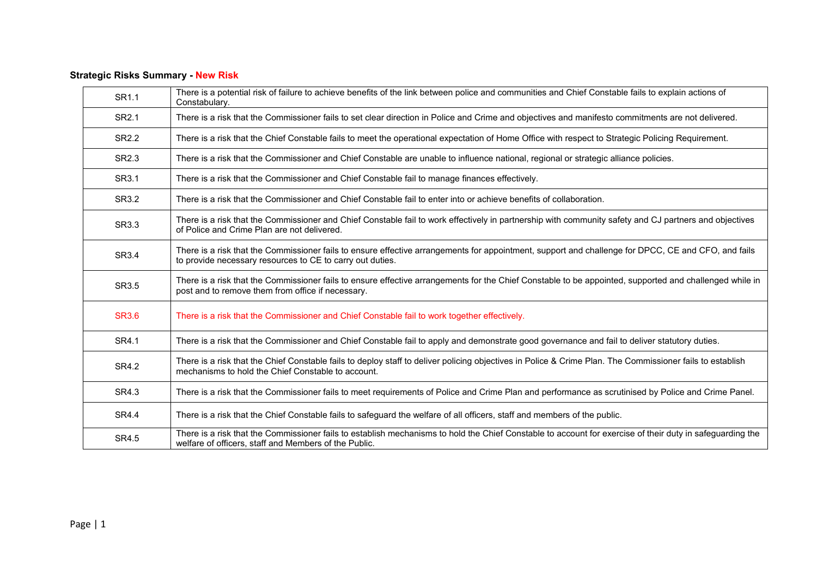|  |  | <b>Strategic Risks Summary - New Risk</b> |  |  |  |
|--|--|-------------------------------------------|--|--|--|
|--|--|-------------------------------------------|--|--|--|

| SR1.1        | There is a potential risk of failure to achieve benefits of the link between police and communities and Chief Constable fails to explain actions of<br>Constabulary.                                               |
|--------------|--------------------------------------------------------------------------------------------------------------------------------------------------------------------------------------------------------------------|
| SR2.1        | There is a risk that the Commissioner fails to set clear direction in Police and Crime and objectives and manifesto commitments are not delivered.                                                                 |
| SR2.2        | There is a risk that the Chief Constable fails to meet the operational expectation of Home Office with respect to Strategic Policing Requirement.                                                                  |
| SR2.3        | There is a risk that the Commissioner and Chief Constable are unable to influence national, regional or strategic alliance policies.                                                                               |
| SR3.1        | There is a risk that the Commissioner and Chief Constable fail to manage finances effectively.                                                                                                                     |
| SR3.2        | There is a risk that the Commissioner and Chief Constable fail to enter into or achieve benefits of collaboration.                                                                                                 |
| SR3.3        | There is a risk that the Commissioner and Chief Constable fail to work effectively in partnership with community safety and CJ partners and objectives<br>of Police and Crime Plan are not delivered.              |
| SR3.4        | There is a risk that the Commissioner fails to ensure effective arrangements for appointment, support and challenge for DPCC, CE and CFO, and fails<br>to provide necessary resources to CE to carry out duties.   |
| SR3.5        | There is a risk that the Commissioner fails to ensure effective arrangements for the Chief Constable to be appointed, supported and challenged while in<br>post and to remove them from office if necessary.       |
| <b>SR3.6</b> | There is a risk that the Commissioner and Chief Constable fail to work together effectively.                                                                                                                       |
| SR4.1        | There is a risk that the Commissioner and Chief Constable fail to apply and demonstrate good governance and fail to deliver statutory duties.                                                                      |
| SR4.2        | There is a risk that the Chief Constable fails to deploy staff to deliver policing objectives in Police & Crime Plan. The Commissioner fails to establish<br>mechanisms to hold the Chief Constable to account.    |
| SR4.3        | There is a risk that the Commissioner fails to meet requirements of Police and Crime Plan and performance as scrutinised by Police and Crime Panel.                                                                |
| SR4.4        | There is a risk that the Chief Constable fails to safeguard the welfare of all officers, staff and members of the public.                                                                                          |
| SR4.5        | There is a risk that the Commissioner fails to establish mechanisms to hold the Chief Constable to account for exercise of their duty in safeguarding the<br>welfare of officers, staff and Members of the Public. |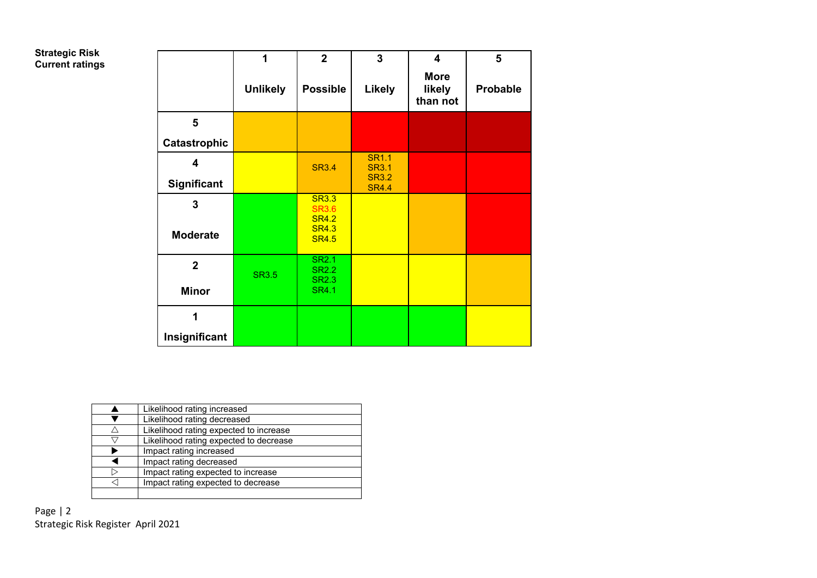### **Strategic Risk Current ratings**

|                     | 1               | $\overline{2}$                               | $\overline{\mathbf{3}}$      | $\overline{\mathbf{4}}$           | 5               |
|---------------------|-----------------|----------------------------------------------|------------------------------|-----------------------------------|-----------------|
|                     | <b>Unlikely</b> | <b>Possible</b>                              | <b>Likely</b>                | <b>More</b><br>likely<br>than not | <b>Probable</b> |
| 5                   |                 |                                              |                              |                                   |                 |
| <b>Catastrophic</b> |                 |                                              |                              |                                   |                 |
| 4                   |                 | <b>SR3.4</b>                                 | <b>SR1.1</b><br><b>SR3.1</b> |                                   |                 |
| Significant         |                 |                                              | <b>SR3.2</b><br><b>SR4.4</b> |                                   |                 |
| 3                   |                 | <b>SR3.3</b><br><b>SR3.6</b>                 |                              |                                   |                 |
| <b>Moderate</b>     |                 | <b>SR4.2</b><br><b>SR4.3</b><br><b>SR4.5</b> |                              |                                   |                 |
| $\overline{2}$      |                 | <b>SR2.1</b><br><b>SR2.2</b>                 |                              |                                   |                 |
| <b>Minor</b>        | SR3.5           | <b>SR2.3</b><br><b>SR4.1</b>                 |                              |                                   |                 |
| 1                   |                 |                                              |                              |                                   |                 |
| Insignificant       |                 |                                              |                              |                                   |                 |

| Likelihood rating increased            |
|----------------------------------------|
| Likelihood rating decreased            |
| Likelihood rating expected to increase |
| Likelihood rating expected to decrease |
| Impact rating increased                |
| Impact rating decreased                |
| Impact rating expected to increase     |
| Impact rating expected to decrease     |
|                                        |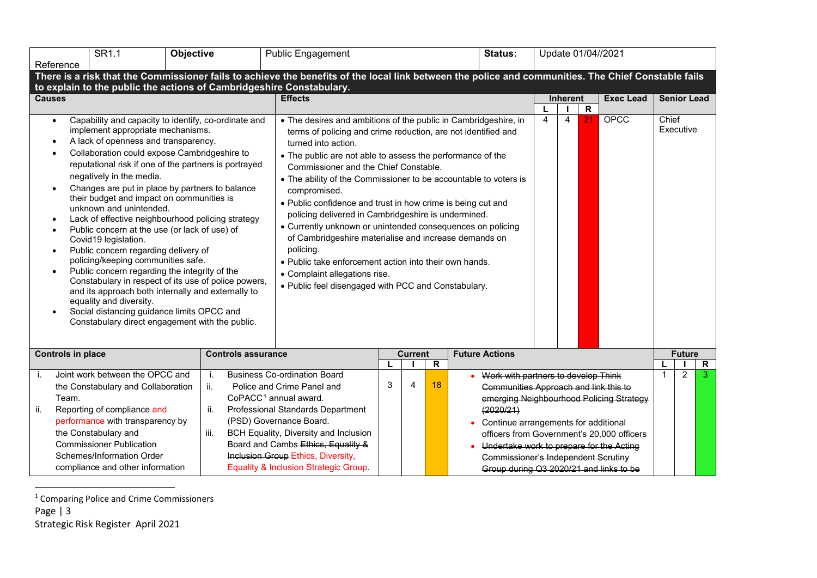<span id="page-2-0"></span>

|                                                                                                                   | SR1.1                                                                                                                                                                                                                                                                                                                                                                                                                                                                                                                                                                                                                                                                                                                                                                                                                                                                                                    | Objective                          | <b>Public Engagement</b>                                                                                                                                                                                                                                                                                                                                                                                                                                                                                                                                                                                                                                                                                                                                       |   |                |                                     | <b>Status:</b>                                                                    |   |                 |                    | Update 01/04//2021 |       |                    |                |
|-------------------------------------------------------------------------------------------------------------------|----------------------------------------------------------------------------------------------------------------------------------------------------------------------------------------------------------------------------------------------------------------------------------------------------------------------------------------------------------------------------------------------------------------------------------------------------------------------------------------------------------------------------------------------------------------------------------------------------------------------------------------------------------------------------------------------------------------------------------------------------------------------------------------------------------------------------------------------------------------------------------------------------------|------------------------------------|----------------------------------------------------------------------------------------------------------------------------------------------------------------------------------------------------------------------------------------------------------------------------------------------------------------------------------------------------------------------------------------------------------------------------------------------------------------------------------------------------------------------------------------------------------------------------------------------------------------------------------------------------------------------------------------------------------------------------------------------------------------|---|----------------|-------------------------------------|-----------------------------------------------------------------------------------|---|-----------------|--------------------|--------------------|-------|--------------------|----------------|
|                                                                                                                   | Reference                                                                                                                                                                                                                                                                                                                                                                                                                                                                                                                                                                                                                                                                                                                                                                                                                                                                                                |                                    |                                                                                                                                                                                                                                                                                                                                                                                                                                                                                                                                                                                                                                                                                                                                                                |   |                |                                     |                                                                                   |   |                 |                    |                    |       |                    |                |
|                                                                                                                   | There is a risk that the Commissioner fails to achieve the benefits of the local link between the police and communities. The Chief Constable fails                                                                                                                                                                                                                                                                                                                                                                                                                                                                                                                                                                                                                                                                                                                                                      |                                    |                                                                                                                                                                                                                                                                                                                                                                                                                                                                                                                                                                                                                                                                                                                                                                |   |                |                                     |                                                                                   |   |                 |                    |                    |       |                    |                |
|                                                                                                                   | to explain to the public the actions of Cambridgeshire Constabulary.                                                                                                                                                                                                                                                                                                                                                                                                                                                                                                                                                                                                                                                                                                                                                                                                                                     |                                    |                                                                                                                                                                                                                                                                                                                                                                                                                                                                                                                                                                                                                                                                                                                                                                |   |                |                                     |                                                                                   |   |                 |                    |                    |       |                    |                |
| <b>Causes</b>                                                                                                     |                                                                                                                                                                                                                                                                                                                                                                                                                                                                                                                                                                                                                                                                                                                                                                                                                                                                                                          |                                    | <b>Effects</b>                                                                                                                                                                                                                                                                                                                                                                                                                                                                                                                                                                                                                                                                                                                                                 |   |                |                                     |                                                                                   |   | <b>Inherent</b> |                    | <b>Exec Lead</b>   |       | <b>Senior Lead</b> |                |
| $\bullet$<br>$\bullet$<br>$\bullet$<br>$\bullet$<br>$\bullet$<br>$\bullet$<br>$\bullet$<br>$\bullet$<br>$\bullet$ | Capability and capacity to identify, co-ordinate and<br>implement appropriate mechanisms.<br>A lack of openness and transparency.<br>Collaboration could expose Cambridgeshire to<br>reputational risk if one of the partners is portrayed<br>negatively in the media.<br>Changes are put in place by partners to balance<br>their budget and impact on communities is<br>unknown and unintended.<br>Lack of effective neighbourhood policing strategy<br>Public concern at the use (or lack of use) of<br>Covid19 legislation.<br>Public concern regarding delivery of<br>policing/keeping communities safe.<br>Public concern regarding the integrity of the<br>Constabulary in respect of its use of police powers,<br>and its approach both internally and externally to<br>equality and diversity.<br>Social distancing guidance limits OPCC and<br>Constabulary direct engagement with the public. |                                    | • The desires and ambitions of the public in Cambridgeshire, in<br>terms of policing and crime reduction, are not identified and<br>turned into action.<br>• The public are not able to assess the performance of the<br>Commissioner and the Chief Constable.<br>• The ability of the Commissioner to be accountable to voters is<br>compromised.<br>• Public confidence and trust in how crime is being cut and<br>policing delivered in Cambridgeshire is undermined.<br>• Currently unknown or unintended consequences on policing<br>of Cambridgeshire materialise and increase demands on<br>policing.<br>• Public take enforcement action into their own hands.<br>• Complaint allegations rise.<br>. Public feel disengaged with PCC and Constabulary. |   |                |                                     |                                                                                   | 4 | 4               | $\mathsf{R}$<br>21 | OPCC               | Chief | Executive          |                |
|                                                                                                                   | <b>Controls in place</b>                                                                                                                                                                                                                                                                                                                                                                                                                                                                                                                                                                                                                                                                                                                                                                                                                                                                                 | <b>Controls assurance</b>          |                                                                                                                                                                                                                                                                                                                                                                                                                                                                                                                                                                                                                                                                                                                                                                |   | <b>Current</b> |                                     | <b>Future Actions</b>                                                             |   |                 |                    |                    |       | <b>Future</b>      |                |
|                                                                                                                   |                                                                                                                                                                                                                                                                                                                                                                                                                                                                                                                                                                                                                                                                                                                                                                                                                                                                                                          |                                    |                                                                                                                                                                                                                                                                                                                                                                                                                                                                                                                                                                                                                                                                                                                                                                |   |                | R                                   |                                                                                   |   |                 |                    |                    | 1     |                    | R              |
| j.                                                                                                                | Joint work between the OPCC and                                                                                                                                                                                                                                                                                                                                                                                                                                                                                                                                                                                                                                                                                                                                                                                                                                                                          | j.                                 | <b>Business Co-ordination Board</b>                                                                                                                                                                                                                                                                                                                                                                                                                                                                                                                                                                                                                                                                                                                            | 3 | 4              | 18                                  | Work with partners to develop Think                                               |   |                 |                    |                    |       | $\overline{2}$     | $\overline{3}$ |
|                                                                                                                   | the Constabulary and Collaboration<br>Team.                                                                                                                                                                                                                                                                                                                                                                                                                                                                                                                                                                                                                                                                                                                                                                                                                                                              | ii.                                | Police and Crime Panel and<br>CoPACC <sup>1</sup> annual award.                                                                                                                                                                                                                                                                                                                                                                                                                                                                                                                                                                                                                                                                                                |   |                |                                     | Communities Approach and link this to<br>emerging Neighbourhood Policing Strategy |   |                 |                    |                    |       |                    |                |
| ii.                                                                                                               | Reporting of compliance and                                                                                                                                                                                                                                                                                                                                                                                                                                                                                                                                                                                                                                                                                                                                                                                                                                                                              | ii.                                | Professional Standards Department                                                                                                                                                                                                                                                                                                                                                                                                                                                                                                                                                                                                                                                                                                                              |   |                |                                     | (2020/21)                                                                         |   |                 |                    |                    |       |                    |                |
|                                                                                                                   | performance with transparency by                                                                                                                                                                                                                                                                                                                                                                                                                                                                                                                                                                                                                                                                                                                                                                                                                                                                         |                                    | (PSD) Governance Board.                                                                                                                                                                                                                                                                                                                                                                                                                                                                                                                                                                                                                                                                                                                                        |   |                |                                     | • Continue arrangements for additional                                            |   |                 |                    |                    |       |                    |                |
|                                                                                                                   | the Constabulary and                                                                                                                                                                                                                                                                                                                                                                                                                                                                                                                                                                                                                                                                                                                                                                                                                                                                                     | iii.                               | BCH Equality, Diversity and Inclusion                                                                                                                                                                                                                                                                                                                                                                                                                                                                                                                                                                                                                                                                                                                          |   |                |                                     | officers from Government's 20,000 officers                                        |   |                 |                    |                    |       |                    |                |
|                                                                                                                   | <b>Commissioner Publication</b>                                                                                                                                                                                                                                                                                                                                                                                                                                                                                                                                                                                                                                                                                                                                                                                                                                                                          |                                    | Board and Cambs Ethics, Equality &                                                                                                                                                                                                                                                                                                                                                                                                                                                                                                                                                                                                                                                                                                                             |   |                |                                     | Undertake work to prepare for the Acting                                          |   |                 |                    |                    |       |                    |                |
|                                                                                                                   | Schemes/Information Order                                                                                                                                                                                                                                                                                                                                                                                                                                                                                                                                                                                                                                                                                                                                                                                                                                                                                | Inclusion Group Ethics, Diversity, |                                                                                                                                                                                                                                                                                                                                                                                                                                                                                                                                                                                                                                                                                                                                                                |   |                | Commissioner's Independent Scrutiny |                                                                                   |   |                 |                    |                    |       |                    |                |
|                                                                                                                   | compliance and other information                                                                                                                                                                                                                                                                                                                                                                                                                                                                                                                                                                                                                                                                                                                                                                                                                                                                         |                                    | Equality & Inclusion Strategic Group.                                                                                                                                                                                                                                                                                                                                                                                                                                                                                                                                                                                                                                                                                                                          |   |                |                                     | Group during Q3 2020/21 and links to be                                           |   |                 |                    |                    |       |                    |                |

 $^1$  Comparing Police and Crime Commissioners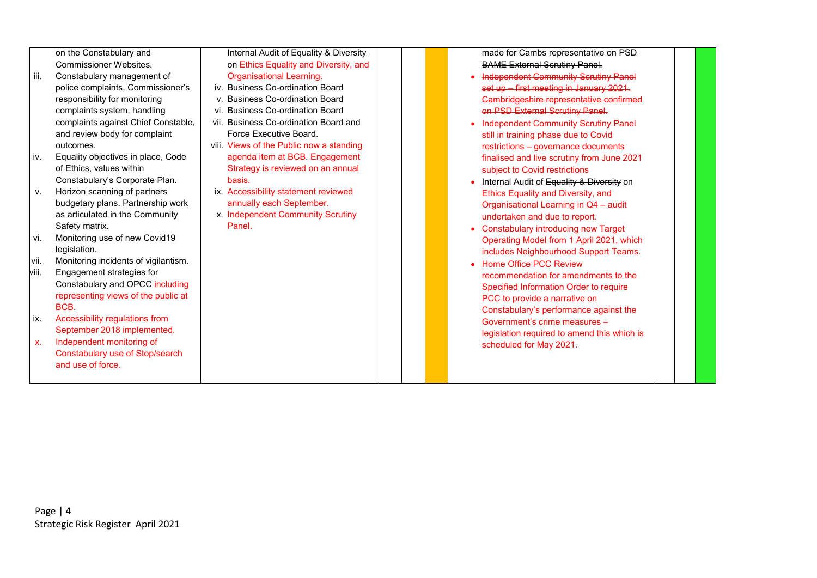on the Constabulary and Commissioner Websites.

- iii. Constabulary management of police complaints, Commissioner's responsibility for monitoring complaints system, handling complaints against Chief Constable, and review body for complaint outcomes.
- iv. Equality objectives in place, Code of Ethics, values within Constabulary's Corporate Plan.
- v. Horizon scanning of partners budgetary plans. Partnership work as articulated in the Community Safety matrix.
- vi. Monitoring use of new Covid19 legislation.
- vii. Monitoring incidents of vigilantism.
- viii. Engagement strategies for Constabulary and OPCC including representing views of the public at BCB.
- ix. Accessibility regulations from September 2018 implemented.
- x. Independent monitoring of Constabulary use of Stop/search and use of force.

Internal Audit of Equality & Diversity on Ethics Equality and Diversity, and Organisational Learning.

- iv. Business Co-ordination Board
- v. Business Co-ordination Board
- vi. Business Co-ordination Board
- vii. Business Co-ordination Board and Force Executive Board.
- viii. Views of the Public now a standing agenda item at BCB. Engagement Strategy is reviewed on an annual basis.
- ix. Accessibility statement reviewed annually each September.
- x. Independent Community Scrutiny Panel.

made for Cambs representative on PSD BAME External Scrutiny Panel.

- Independent Community Scrutiny Panel set up – first meeting in January 2021. Cambridgeshire representative confirmed on PSD External Scrutiny Panel.
- Independent Community Scrutiny Panel still in training phase due to Covid restrictions – governance documents finalised and live scrutiny from June 2021 subject to Covid restrictions
- Internal Audit of Equality & Diversity on Ethics Equality and Diversity, and Organisational Learning in Q4 – audit undertaken and due to report.
- Constabulary introducing new Target Operating Model from 1 April 2021, which includes Neighbourhood Support Teams.
- Home Office PCC Review recommendation for amendments to the Specified Information Order to require PCC to provide a narrative on Constabulary's performance against the Government's crime measures – legislation required to amend this which is scheduled for May 2021.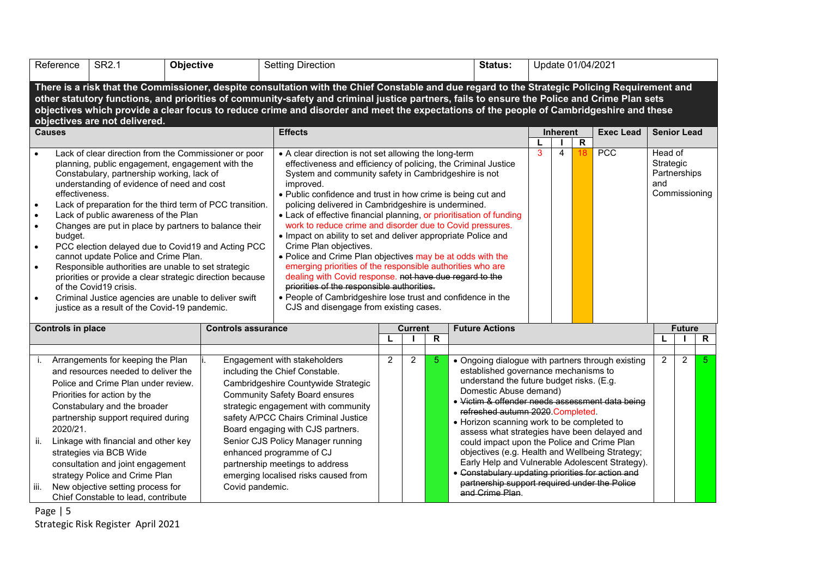| Reference                                                                                                            | <b>SR2.1</b>                                                                                                                                                                                                                                                                                                                                                                                                                                                                                                                                                                                                                                                                                                              | Objective |                                                                                                                                                                                                                                                                                                                                                                                                                                                                                                                                                                                                                                                                                                                                                                                                                                                                                                                    | <b>Setting Direction</b>                                                                                                                                                                                                                                                                                                                                                                                                                |   |    |                                                                                                                                                                                                                                                                                                                                                                                                                                                                                                                                                                                                                                     | Status:               |  |                 |                                                              | Update 01/04/2021 |                    |               |   |
|----------------------------------------------------------------------------------------------------------------------|---------------------------------------------------------------------------------------------------------------------------------------------------------------------------------------------------------------------------------------------------------------------------------------------------------------------------------------------------------------------------------------------------------------------------------------------------------------------------------------------------------------------------------------------------------------------------------------------------------------------------------------------------------------------------------------------------------------------------|-----------|--------------------------------------------------------------------------------------------------------------------------------------------------------------------------------------------------------------------------------------------------------------------------------------------------------------------------------------------------------------------------------------------------------------------------------------------------------------------------------------------------------------------------------------------------------------------------------------------------------------------------------------------------------------------------------------------------------------------------------------------------------------------------------------------------------------------------------------------------------------------------------------------------------------------|-----------------------------------------------------------------------------------------------------------------------------------------------------------------------------------------------------------------------------------------------------------------------------------------------------------------------------------------------------------------------------------------------------------------------------------------|---|----|-------------------------------------------------------------------------------------------------------------------------------------------------------------------------------------------------------------------------------------------------------------------------------------------------------------------------------------------------------------------------------------------------------------------------------------------------------------------------------------------------------------------------------------------------------------------------------------------------------------------------------------|-----------------------|--|-----------------|--------------------------------------------------------------|-------------------|--------------------|---------------|---|
|                                                                                                                      | objectives are not delivered.                                                                                                                                                                                                                                                                                                                                                                                                                                                                                                                                                                                                                                                                                             |           |                                                                                                                                                                                                                                                                                                                                                                                                                                                                                                                                                                                                                                                                                                                                                                                                                                                                                                                    | There is a risk that the Commissioner, despite consultation with the Chief Constable and due regard to the Strategic Policing Requirement and<br>other statutory functions, and priorities of community-safety and criminal justice partners, fails to ensure the Police and Crime Plan sets<br>objectives which provide a clear focus to reduce crime and disorder and meet the expectations of the people of Cambridgeshire and these |   |    |                                                                                                                                                                                                                                                                                                                                                                                                                                                                                                                                                                                                                                     |                       |  |                 |                                                              |                   |                    |               |   |
| <b>Causes</b>                                                                                                        |                                                                                                                                                                                                                                                                                                                                                                                                                                                                                                                                                                                                                                                                                                                           |           |                                                                                                                                                                                                                                                                                                                                                                                                                                                                                                                                                                                                                                                                                                                                                                                                                                                                                                                    | <b>Effects</b>                                                                                                                                                                                                                                                                                                                                                                                                                          |   |    |                                                                                                                                                                                                                                                                                                                                                                                                                                                                                                                                                                                                                                     |                       |  | <b>Inherent</b> | $\mathsf{R}$                                                 | <b>Exec Lead</b>  | <b>Senior Lead</b> |               |   |
| $\bullet$<br>effectiveness.<br>$\bullet$<br>$\bullet$<br>$\bullet$<br>budget.<br>$\bullet$<br>$\bullet$<br>$\bullet$ | Lack of clear direction from the Commissioner or poor<br>planning, public engagement, engagement with the<br>Constabulary, partnership working, lack of<br>understanding of evidence of need and cost<br>Lack of preparation for the third term of PCC transition.<br>Lack of public awareness of the Plan<br>Changes are put in place by partners to balance their<br>PCC election delayed due to Covid19 and Acting PCC<br>cannot update Police and Crime Plan.<br>Responsible authorities are unable to set strategic<br>priorities or provide a clear strategic direction because<br>of the Covid19 crisis.<br>Criminal Justice agencies are unable to deliver swift<br>justice as a result of the Covid-19 pandemic. |           | • A clear direction is not set allowing the long-term<br>effectiveness and efficiency of policing, the Criminal Justice<br>System and community safety in Cambridgeshire is not<br>improved.<br>• Public confidence and trust in how crime is being cut and<br>policing delivered in Cambridgeshire is undermined.<br>• Lack of effective financial planning, or prioritisation of funding<br>work to reduce crime and disorder due to Covid pressures.<br>• Impact on ability to set and deliver appropriate Police and<br>Crime Plan objectives.<br>• Police and Crime Plan objectives may be at odds with the<br>emerging priorities of the responsible authorities who are<br>dealing with Covid response. not have due regard to the<br>priorities of the responsible authorities.<br>• People of Cambridgeshire lose trust and confidence in the<br>CJS and disengage from existing cases.<br><b>Current</b> |                                                                                                                                                                                                                                                                                                                                                                                                                                         |   |    | 3                                                                                                                                                                                                                                                                                                                                                                                                                                                                                                                                                                                                                                   | 4                     |  | PCC             | Head of<br>Strategic<br>Partnerships<br>and<br>Commissioning |                   |                    |               |   |
| <b>Controls in place</b>                                                                                             |                                                                                                                                                                                                                                                                                                                                                                                                                                                                                                                                                                                                                                                                                                                           |           | <b>Controls assurance</b>                                                                                                                                                                                                                                                                                                                                                                                                                                                                                                                                                                                                                                                                                                                                                                                                                                                                                          |                                                                                                                                                                                                                                                                                                                                                                                                                                         |   |    | $\overline{\mathbf{R}}$                                                                                                                                                                                                                                                                                                                                                                                                                                                                                                                                                                                                             | <b>Future Actions</b> |  |                 |                                                              |                   |                    | <b>Future</b> | R |
| 2020/21.<br>ii.<br>iii.                                                                                              | Arrangements for keeping the Plan<br>and resources needed to deliver the<br>Police and Crime Plan under review.<br>Priorities for action by the<br>Constabulary and the broader<br>partnership support required during<br>Linkage with financial and other key<br>strategies via BCB Wide<br>consultation and joint engagement<br>strategy Police and Crime Plan<br>New objective setting process for<br>Chief Constable to lead, contribute                                                                                                                                                                                                                                                                              |           | Engagement with stakeholders<br>including the Chief Constable.<br>Cambridgeshire Countywide Strategic<br><b>Community Safety Board ensures</b><br>strategic engagement with community<br>safety A/PCC Chairs Criminal Justice<br>Board engaging with CJS partners.<br>Senior CJS Policy Manager running<br>enhanced programme of CJ<br>partnership meetings to address<br>emerging localised risks caused from<br>Covid pandemic.                                                                                                                                                                                                                                                                                                                                                                                                                                                                                  | $\overline{2}$                                                                                                                                                                                                                                                                                                                                                                                                                          | 2 | 5. | • Ongoing dialogue with partners through existing<br>established governance mechanisms to<br>understand the future budget risks. (E.g.<br>Domestic Abuse demand)<br>· Victim & offender needs assessment data being<br>refreshed autumn 2020.Completed.<br>• Horizon scanning work to be completed to<br>assess what strategies have been delayed and<br>could impact upon the Police and Crime Plan<br>objectives (e.g. Health and Wellbeing Strategy;<br>Early Help and Vulnerable Adolescent Strategy).<br>• Constabulary updating priorities for action and<br>partnership support required under the Police<br>and Crime Plan. |                       |  |                 |                                                              | $\overline{2}$    | $\overline{2}$     | 5             |   |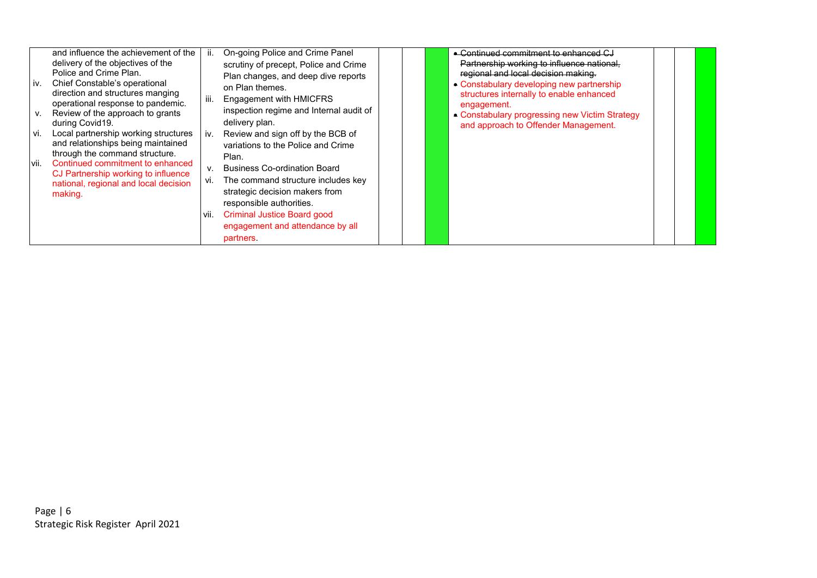| and influence the achievement of the<br>On-going Police and Crime Panel<br>Ш.<br>delivery of the objectives of the<br>scrutiny of precept, Police and Crime<br>Police and Crime Plan.<br>Plan changes, and deep dive reports<br>Chief Constable's operational<br>IV.<br>on Plan themes.<br>direction and structures manging<br>iii.<br>Engagement with HMICFRS<br>operational response to pandemic.<br>inspection regime and Internal audit of<br>Review of the approach to grants<br>ν.<br>delivery plan.<br>during Covid19.<br>Local partnership working structures<br>Review and sign off by the BCB of<br>iv.<br>vi.<br>and relationships being maintained<br>variations to the Police and Crime<br>through the command structure.<br>Plan.<br>Continued commitment to enhanced<br>lvii.<br><b>Business Co-ordination Board</b><br>$V_{\rm{H}}$<br>CJ Partnership working to influence<br>The command structure includes key<br>vi.<br>national, regional and local decision<br>strategic decision makers from<br>making.<br>responsible authorities.<br>vii. Criminal Justice Board good<br>engagement and attendance by all<br>partners. | • Continued commitment to enhanced CJ<br>Partnership working to influence national,<br>regional and local decision making.<br>• Constabulary developing new partnership<br>structures internally to enable enhanced<br>engagement.<br>• Constabulary progressing new Victim Strategy<br>and approach to Offender Management. |
|------------------------------------------------------------------------------------------------------------------------------------------------------------------------------------------------------------------------------------------------------------------------------------------------------------------------------------------------------------------------------------------------------------------------------------------------------------------------------------------------------------------------------------------------------------------------------------------------------------------------------------------------------------------------------------------------------------------------------------------------------------------------------------------------------------------------------------------------------------------------------------------------------------------------------------------------------------------------------------------------------------------------------------------------------------------------------------------------------------------------------------------------|------------------------------------------------------------------------------------------------------------------------------------------------------------------------------------------------------------------------------------------------------------------------------------------------------------------------------|
|------------------------------------------------------------------------------------------------------------------------------------------------------------------------------------------------------------------------------------------------------------------------------------------------------------------------------------------------------------------------------------------------------------------------------------------------------------------------------------------------------------------------------------------------------------------------------------------------------------------------------------------------------------------------------------------------------------------------------------------------------------------------------------------------------------------------------------------------------------------------------------------------------------------------------------------------------------------------------------------------------------------------------------------------------------------------------------------------------------------------------------------------|------------------------------------------------------------------------------------------------------------------------------------------------------------------------------------------------------------------------------------------------------------------------------------------------------------------------------|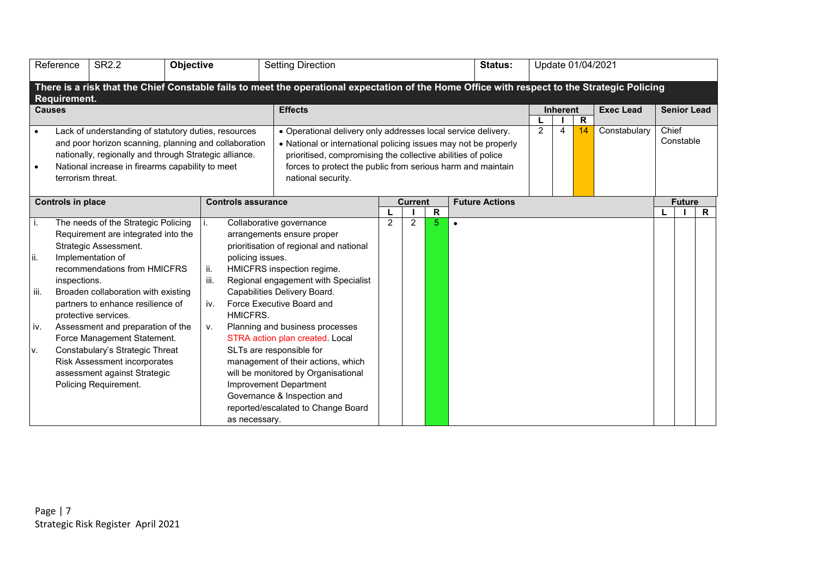|      | Reference         | <b>SR2.2</b>                                                          | Objective |      |                           |  | <b>Setting Direction</b>                                                                                                                     |                |   | <b>Status:</b> | Update 01/04/2021 |           |                       |                |                 |              |                  |       |               |                    |
|------|-------------------|-----------------------------------------------------------------------|-----------|------|---------------------------|--|----------------------------------------------------------------------------------------------------------------------------------------------|----------------|---|----------------|-------------------|-----------|-----------------------|----------------|-----------------|--------------|------------------|-------|---------------|--------------------|
|      | Requirement.      |                                                                       |           |      |                           |  | There is a risk that the Chief Constable fails to meet the operational expectation of the Home Office with respect to the Strategic Policing |                |   |                |                   |           |                       |                |                 |              |                  |       |               |                    |
|      | <b>Causes</b>     |                                                                       |           |      |                           |  | <b>Effects</b>                                                                                                                               |                |   |                |                   |           |                       |                | <b>Inherent</b> |              | <b>Exec Lead</b> |       |               | <b>Senior Lead</b> |
|      |                   | Lack of understanding of statutory duties, resources                  |           |      |                           |  |                                                                                                                                              |                |   |                |                   |           |                       |                |                 | $\mathsf{R}$ |                  |       |               |                    |
|      |                   |                                                                       |           |      |                           |  | . Operational delivery only addresses local service delivery.                                                                                |                |   |                |                   |           |                       | $\overline{2}$ | 4               | 14           | Constabulary     | Chief | Constable     |                    |
|      |                   | and poor horizon scanning, planning and collaboration                 |           |      |                           |  | • National or international policing issues may not be properly                                                                              |                |   |                |                   |           |                       |                |                 |              |                  |       |               |                    |
|      |                   | nationally, regionally and through Strategic alliance.                |           |      |                           |  | prioritised, compromising the collective abilities of police                                                                                 |                |   |                |                   |           |                       |                |                 |              |                  |       |               |                    |
|      |                   | National increase in firearms capability to meet<br>terrorism threat. |           |      |                           |  | forces to protect the public from serious harm and maintain                                                                                  |                |   |                |                   |           |                       |                |                 |              |                  |       |               |                    |
|      |                   |                                                                       |           |      |                           |  | national security.                                                                                                                           |                |   |                |                   |           |                       |                |                 |              |                  |       |               |                    |
|      |                   |                                                                       |           |      |                           |  |                                                                                                                                              | <b>Current</b> |   |                |                   |           |                       |                |                 |              |                  |       |               |                    |
|      | Controls in place |                                                                       |           |      | <b>Controls assurance</b> |  |                                                                                                                                              |                |   |                | R                 |           | <b>Future Actions</b> |                |                 |              |                  |       | <b>Future</b> | $\mathsf{R}$       |
| ı.   |                   | The needs of the Strategic Policing                                   |           |      |                           |  | Collaborative governance                                                                                                                     | $\overline{c}$ | 2 |                | 5                 | $\bullet$ |                       |                |                 |              |                  |       |               |                    |
|      |                   | Requirement are integrated into the                                   |           |      |                           |  | arrangements ensure proper                                                                                                                   |                |   |                |                   |           |                       |                |                 |              |                  |       |               |                    |
|      |                   | Strategic Assessment.                                                 |           |      |                           |  | prioritisation of regional and national                                                                                                      |                |   |                |                   |           |                       |                |                 |              |                  |       |               |                    |
| II.  |                   | Implementation of                                                     |           |      | policing issues.          |  |                                                                                                                                              |                |   |                |                   |           |                       |                |                 |              |                  |       |               |                    |
|      |                   | recommendations from HMICFRS                                          |           | ii.  |                           |  | HMICFRS inspection regime.                                                                                                                   |                |   |                |                   |           |                       |                |                 |              |                  |       |               |                    |
|      | inspections.      |                                                                       |           | iii. |                           |  | Regional engagement with Specialist                                                                                                          |                |   |                |                   |           |                       |                |                 |              |                  |       |               |                    |
| iii. |                   | Broaden collaboration with existing                                   |           |      |                           |  | Capabilities Delivery Board.                                                                                                                 |                |   |                |                   |           |                       |                |                 |              |                  |       |               |                    |
|      |                   | partners to enhance resilience of                                     |           | iv.  |                           |  | Force Executive Board and                                                                                                                    |                |   |                |                   |           |                       |                |                 |              |                  |       |               |                    |
|      |                   | protective services.                                                  |           |      | HMICFRS.                  |  |                                                                                                                                              |                |   |                |                   |           |                       |                |                 |              |                  |       |               |                    |
| iv.  |                   | Assessment and preparation of the                                     |           | ۷.   |                           |  | Planning and business processes                                                                                                              |                |   |                |                   |           |                       |                |                 |              |                  |       |               |                    |
|      |                   | Force Management Statement.                                           |           |      |                           |  | STRA action plan created. Local                                                                                                              |                |   |                |                   |           |                       |                |                 |              |                  |       |               |                    |
| V.   |                   | Constabulary's Strategic Threat                                       |           |      |                           |  | SLTs are responsible for                                                                                                                     |                |   |                |                   |           |                       |                |                 |              |                  |       |               |                    |
|      |                   | Risk Assessment incorporates                                          |           |      |                           |  | management of their actions, which                                                                                                           |                |   |                |                   |           |                       |                |                 |              |                  |       |               |                    |
|      |                   | assessment against Strategic                                          |           |      |                           |  | will be monitored by Organisational                                                                                                          |                |   |                |                   |           |                       |                |                 |              |                  |       |               |                    |
|      |                   | Policing Requirement.                                                 |           |      |                           |  | Improvement Department                                                                                                                       |                |   |                |                   |           |                       |                |                 |              |                  |       |               |                    |
|      |                   |                                                                       |           |      |                           |  | Governance & Inspection and                                                                                                                  |                |   |                |                   |           |                       |                |                 |              |                  |       |               |                    |
|      |                   |                                                                       |           |      |                           |  | reported/escalated to Change Board                                                                                                           |                |   |                |                   |           |                       |                |                 |              |                  |       |               |                    |
|      |                   |                                                                       |           |      | as necessary.             |  |                                                                                                                                              |                |   |                |                   |           |                       |                |                 |              |                  |       |               |                    |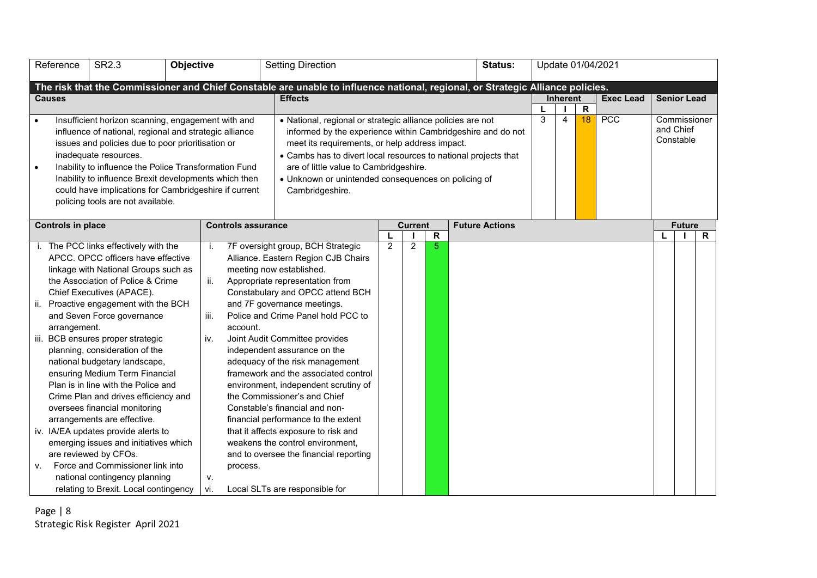|           | Reference                | SR2.3                                                  | Objective |      |                           | <b>Setting Direction</b>                                                                                                       |                | Status:        |   |  |                       |   |          | Update 01/04/2021 |                  |                    |               |              |
|-----------|--------------------------|--------------------------------------------------------|-----------|------|---------------------------|--------------------------------------------------------------------------------------------------------------------------------|----------------|----------------|---|--|-----------------------|---|----------|-------------------|------------------|--------------------|---------------|--------------|
|           |                          |                                                        |           |      |                           | The risk that the Commissioner and Chief Constable are unable to influence national, regional, or Strategic Alliance policies. |                |                |   |  |                       |   |          |                   |                  |                    |               |              |
|           | <b>Causes</b>            |                                                        |           |      |                           | <b>Effects</b>                                                                                                                 |                |                |   |  |                       |   | Inherent |                   | <b>Exec Lead</b> | <b>Senior Lead</b> |               |              |
|           |                          |                                                        |           |      |                           |                                                                                                                                |                |                |   |  |                       |   |          | $\overline{R}$    |                  |                    |               |              |
|           |                          | Insufficient horizon scanning, engagement with and     |           |      |                           | • National, regional or strategic alliance policies are not                                                                    |                |                |   |  |                       | 3 | 4        | 18                | PCC              |                    |               | Commissioner |
|           |                          | influence of national, regional and strategic alliance |           |      |                           | informed by the experience within Cambridgeshire and do not                                                                    |                |                |   |  |                       |   |          |                   |                  | and Chief          |               |              |
|           |                          | issues and policies due to poor prioritisation or      |           |      |                           | meet its requirements, or help address impact.                                                                                 |                |                |   |  |                       |   |          |                   |                  | Constable          |               |              |
|           |                          | inadequate resources.                                  |           |      |                           | • Cambs has to divert local resources to national projects that                                                                |                |                |   |  |                       |   |          |                   |                  |                    |               |              |
| $\bullet$ |                          | Inability to influence the Police Transformation Fund  |           |      |                           | are of little value to Cambridgeshire.                                                                                         |                |                |   |  |                       |   |          |                   |                  |                    |               |              |
|           |                          | Inability to influence Brexit developments which then  |           |      |                           | • Unknown or unintended consequences on policing of                                                                            |                |                |   |  |                       |   |          |                   |                  |                    |               |              |
|           |                          | could have implications for Cambridgeshire if current  |           |      |                           | Cambridgeshire.                                                                                                                |                |                |   |  |                       |   |          |                   |                  |                    |               |              |
|           |                          | policing tools are not available.                      |           |      |                           |                                                                                                                                |                |                |   |  |                       |   |          |                   |                  |                    |               |              |
|           |                          |                                                        |           |      |                           |                                                                                                                                |                |                |   |  |                       |   |          |                   |                  |                    |               |              |
|           | <b>Controls in place</b> |                                                        |           |      | <b>Controls assurance</b> |                                                                                                                                |                | <b>Current</b> |   |  | <b>Future Actions</b> |   |          |                   |                  |                    | <b>Future</b> |              |
|           |                          |                                                        |           |      |                           |                                                                                                                                |                |                | R |  |                       |   |          |                   |                  |                    |               | $\mathsf{R}$ |
|           |                          | i. The PCC links effectively with the                  |           | İ.   |                           | 7F oversight group, BCH Strategic                                                                                              | $\overline{2}$ | $\overline{2}$ | 5 |  |                       |   |          |                   |                  |                    |               |              |
|           |                          | APCC. OPCC officers have effective                     |           |      |                           | Alliance. Eastern Region CJB Chairs                                                                                            |                |                |   |  |                       |   |          |                   |                  |                    |               |              |
|           |                          | linkage with National Groups such as                   |           |      |                           | meeting now established.                                                                                                       |                |                |   |  |                       |   |          |                   |                  |                    |               |              |
|           |                          | the Association of Police & Crime                      |           | ii.  |                           | Appropriate representation from                                                                                                |                |                |   |  |                       |   |          |                   |                  |                    |               |              |
|           |                          | Chief Executives (APACE).                              |           |      |                           | Constabulary and OPCC attend BCH                                                                                               |                |                |   |  |                       |   |          |                   |                  |                    |               |              |
| II.       |                          | Proactive engagement with the BCH                      |           |      |                           | and 7F governance meetings.                                                                                                    |                |                |   |  |                       |   |          |                   |                  |                    |               |              |
|           |                          | and Seven Force governance                             |           | iii. |                           | Police and Crime Panel hold PCC to                                                                                             |                |                |   |  |                       |   |          |                   |                  |                    |               |              |
|           | arrangement.             |                                                        |           |      | account.                  |                                                                                                                                |                |                |   |  |                       |   |          |                   |                  |                    |               |              |
|           |                          | iii. BCB ensures proper strategic                      |           | iv.  |                           | Joint Audit Committee provides                                                                                                 |                |                |   |  |                       |   |          |                   |                  |                    |               |              |
|           |                          | planning, consideration of the                         |           |      |                           | independent assurance on the                                                                                                   |                |                |   |  |                       |   |          |                   |                  |                    |               |              |
|           |                          | national budgetary landscape,                          |           |      |                           | adequacy of the risk management                                                                                                |                |                |   |  |                       |   |          |                   |                  |                    |               |              |
|           |                          | ensuring Medium Term Financial                         |           |      |                           | framework and the associated control                                                                                           |                |                |   |  |                       |   |          |                   |                  |                    |               |              |
|           |                          | Plan is in line with the Police and                    |           |      |                           | environment, independent scrutiny of                                                                                           |                |                |   |  |                       |   |          |                   |                  |                    |               |              |
|           |                          | Crime Plan and drives efficiency and                   |           |      |                           | the Commissioner's and Chief                                                                                                   |                |                |   |  |                       |   |          |                   |                  |                    |               |              |
|           |                          | oversees financial monitoring                          |           |      |                           | Constable's financial and non-                                                                                                 |                |                |   |  |                       |   |          |                   |                  |                    |               |              |
|           |                          | arrangements are effective.                            |           |      |                           | financial performance to the extent                                                                                            |                |                |   |  |                       |   |          |                   |                  |                    |               |              |
|           |                          | iv. IA/EA updates provide alerts to                    |           |      |                           | that it affects exposure to risk and                                                                                           |                |                |   |  |                       |   |          |                   |                  |                    |               |              |
|           |                          | emerging issues and initiatives which                  |           |      |                           | weakens the control environment,                                                                                               |                |                |   |  |                       |   |          |                   |                  |                    |               |              |
|           |                          | are reviewed by CFOs.                                  |           |      |                           | and to oversee the financial reporting                                                                                         |                |                |   |  |                       |   |          |                   |                  |                    |               |              |
| V.        |                          | Force and Commissioner link into                       |           |      | process.                  |                                                                                                                                |                |                |   |  |                       |   |          |                   |                  |                    |               |              |
|           |                          | national contingency planning                          |           | v.   |                           |                                                                                                                                |                |                |   |  |                       |   |          |                   |                  |                    |               |              |
|           |                          | relating to Brexit. Local contingency                  |           | vi.  |                           | Local SLTs are responsible for                                                                                                 |                |                |   |  |                       |   |          |                   |                  |                    |               |              |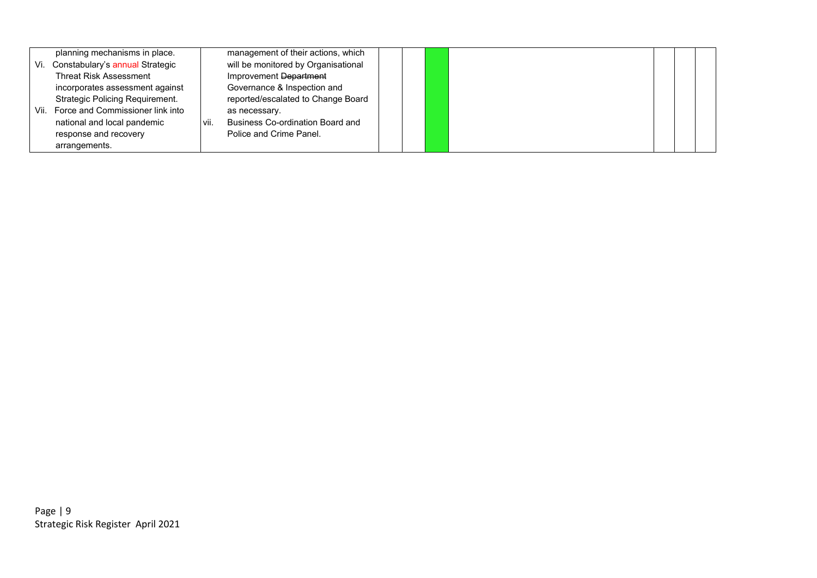|     | planning mechanisms in place.          |      | management of their actions, which      |  |  |  |  |  |
|-----|----------------------------------------|------|-----------------------------------------|--|--|--|--|--|
| Vi. | Constabulary's annual Strategic        |      | will be monitored by Organisational     |  |  |  |  |  |
|     | <b>Threat Risk Assessment</b>          |      | Improvement Department                  |  |  |  |  |  |
|     | incorporates assessment against        |      | Governance & Inspection and             |  |  |  |  |  |
|     | <b>Strategic Policing Requirement.</b> |      | reported/escalated to Change Board      |  |  |  |  |  |
|     | Vii. Force and Commissioner link into  |      | as necessary.                           |  |  |  |  |  |
|     | national and local pandemic            | vii. | <b>Business Co-ordination Board and</b> |  |  |  |  |  |
|     | response and recovery                  |      | Police and Crime Panel.                 |  |  |  |  |  |
|     | arrangements.                          |      |                                         |  |  |  |  |  |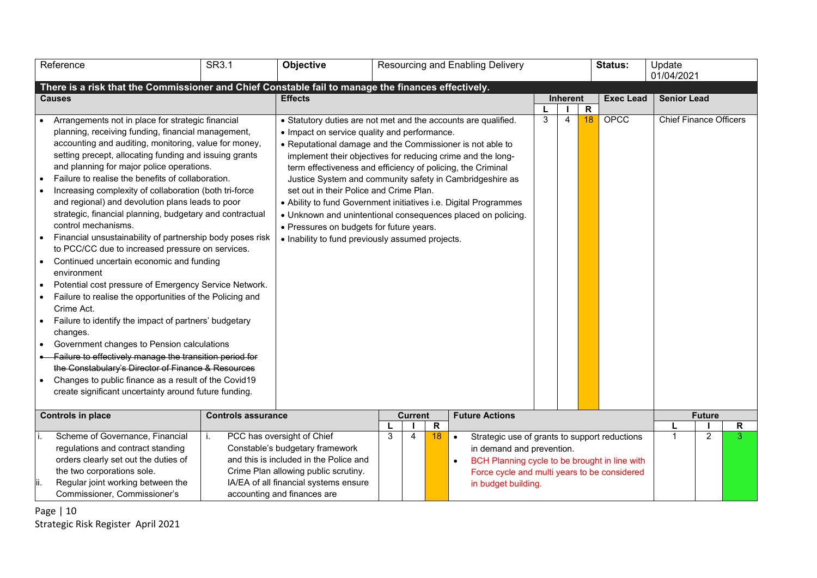| Reference<br>SR3.1                                                                                 | Objective                                                   |                                                                                                                                   |                           | Resourcing and Enabling Delivery                                 |   |          |              | Status:          | Update<br>01/04/2021          |                |        |
|----------------------------------------------------------------------------------------------------|-------------------------------------------------------------|-----------------------------------------------------------------------------------------------------------------------------------|---------------------------|------------------------------------------------------------------|---|----------|--------------|------------------|-------------------------------|----------------|--------|
| There is a risk that the Commissioner and Chief Constable fail to manage the finances effectively. |                                                             |                                                                                                                                   |                           |                                                                  |   |          |              |                  |                               |                |        |
| <b>Causes</b>                                                                                      | <b>Effects</b>                                              |                                                                                                                                   |                           |                                                                  |   | Inherent |              | <b>Exec Lead</b> | <b>Senior Lead</b>            |                |        |
|                                                                                                    |                                                             |                                                                                                                                   |                           |                                                                  |   |          | $\mathsf{R}$ |                  |                               |                |        |
| Arrangements not in place for strategic financial                                                  |                                                             |                                                                                                                                   |                           | • Statutory duties are not met and the accounts are qualified.   | 3 | 4        | 18           | OPCC             | <b>Chief Finance Officers</b> |                |        |
| planning, receiving funding, financial management,                                                 | • Impact on service quality and performance.                |                                                                                                                                   |                           |                                                                  |   |          |              |                  |                               |                |        |
| accounting and auditing, monitoring, value for money,                                              | • Reputational damage and the Commissioner is not able to   |                                                                                                                                   |                           |                                                                  |   |          |              |                  |                               |                |        |
| setting precept, allocating funding and issuing grants                                             |                                                             |                                                                                                                                   |                           | implement their objectives for reducing crime and the long-      |   |          |              |                  |                               |                |        |
| and planning for major police operations.                                                          | term effectiveness and efficiency of policing, the Criminal |                                                                                                                                   |                           |                                                                  |   |          |              |                  |                               |                |        |
| Failure to realise the benefits of collaboration.                                                  | Justice System and community safety in Cambridgeshire as    |                                                                                                                                   |                           |                                                                  |   |          |              |                  |                               |                |        |
| Increasing complexity of collaboration (both tri-force<br>$\bullet$                                | set out in their Police and Crime Plan.                     |                                                                                                                                   |                           |                                                                  |   |          |              |                  |                               |                |        |
| and regional) and devolution plans leads to poor                                                   |                                                             |                                                                                                                                   |                           | • Ability to fund Government initiatives i.e. Digital Programmes |   |          |              |                  |                               |                |        |
| strategic, financial planning, budgetary and contractual                                           |                                                             | • Unknown and unintentional consequences placed on policing.                                                                      |                           |                                                                  |   |          |              |                  |                               |                |        |
| control mechanisms.                                                                                | • Pressures on budgets for future years.                    |                                                                                                                                   |                           |                                                                  |   |          |              |                  |                               |                |        |
| Financial unsustainability of partnership body poses risk                                          | • Inability to fund previously assumed projects.            |                                                                                                                                   |                           |                                                                  |   |          |              |                  |                               |                |        |
| to PCC/CC due to increased pressure on services.                                                   |                                                             |                                                                                                                                   |                           |                                                                  |   |          |              |                  |                               |                |        |
| Continued uncertain economic and funding                                                           |                                                             |                                                                                                                                   |                           |                                                                  |   |          |              |                  |                               |                |        |
| environment                                                                                        |                                                             |                                                                                                                                   |                           |                                                                  |   |          |              |                  |                               |                |        |
| Potential cost pressure of Emergency Service Network.                                              |                                                             |                                                                                                                                   |                           |                                                                  |   |          |              |                  |                               |                |        |
| Failure to realise the opportunities of the Policing and                                           |                                                             |                                                                                                                                   |                           |                                                                  |   |          |              |                  |                               |                |        |
| Crime Act.                                                                                         |                                                             |                                                                                                                                   |                           |                                                                  |   |          |              |                  |                               |                |        |
| Failure to identify the impact of partners' budgetary<br>changes.                                  |                                                             |                                                                                                                                   |                           |                                                                  |   |          |              |                  |                               |                |        |
| Government changes to Pension calculations                                                         |                                                             |                                                                                                                                   |                           |                                                                  |   |          |              |                  |                               |                |        |
| Failure to effectively manage the transition period for                                            |                                                             |                                                                                                                                   |                           |                                                                  |   |          |              |                  |                               |                |        |
| the Constabulary's Director of Finance & Resources                                                 |                                                             |                                                                                                                                   |                           |                                                                  |   |          |              |                  |                               |                |        |
| Changes to public finance as a result of the Covid19<br>$\bullet$                                  |                                                             |                                                                                                                                   |                           |                                                                  |   |          |              |                  |                               |                |        |
| create significant uncertainty around future funding.                                              |                                                             |                                                                                                                                   |                           |                                                                  |   |          |              |                  |                               |                |        |
|                                                                                                    |                                                             |                                                                                                                                   |                           |                                                                  |   |          |              |                  |                               |                |        |
| <b>Controls in place</b>                                                                           | <b>Controls assurance</b>                                   |                                                                                                                                   | <b>Current</b>            | <b>Future Actions</b>                                            |   |          |              |                  |                               | <b>Future</b>  |        |
| Scheme of Governance, Financial<br>i.                                                              | PCC has oversight of Chief                                  | 3                                                                                                                                 | R<br>$\overline{4}$<br>18 |                                                                  |   |          |              |                  | $\overline{1}$                | $\overline{2}$ | R<br>3 |
| regulations and contract standing                                                                  | Constable's budgetary framework                             | Strategic use of grants to support reductions<br>$\bullet$                                                                        |                           |                                                                  |   |          |              |                  |                               |                |        |
| orders clearly set out the duties of                                                               |                                                             | in demand and prevention.<br>and this is included in the Police and<br>BCH Planning cycle to be brought in line with<br>$\bullet$ |                           |                                                                  |   |          |              |                  |                               |                |        |
| the two corporations sole.                                                                         | Crime Plan allowing public scrutiny.                        |                                                                                                                                   |                           | Force cycle and multi years to be considered                     |   |          |              |                  |                               |                |        |
| Regular joint working between the                                                                  | IA/EA of all financial systems ensure                       |                                                                                                                                   |                           | in budget building.                                              |   |          |              |                  |                               |                |        |
| Commissioner, Commissioner's                                                                       | accounting and finances are                                 |                                                                                                                                   |                           |                                                                  |   |          |              |                  |                               |                |        |

Page | 10 Strategic Risk Register April 2021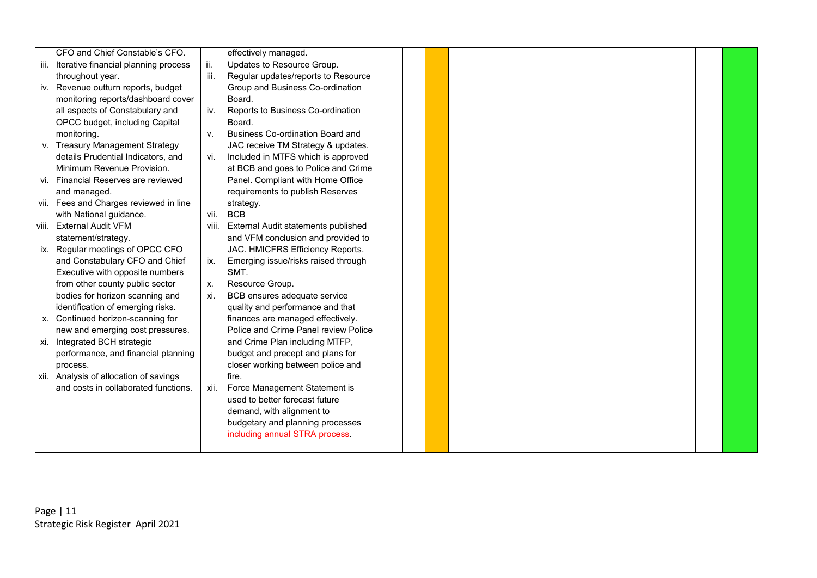| CFO and Chief Constable's CFO.            |       | effectively managed.                                               |  |  |  |  |
|-------------------------------------------|-------|--------------------------------------------------------------------|--|--|--|--|
| iii. Iterative financial planning process | ii.   | Updates to Resource Group.                                         |  |  |  |  |
| throughout year.                          | iii.  | Regular updates/reports to Resource                                |  |  |  |  |
| iv. Revenue outturn reports, budget       |       | Group and Business Co-ordination                                   |  |  |  |  |
| monitoring reports/dashboard cover        |       | Board.                                                             |  |  |  |  |
| all aspects of Constabulary and           | IV.   | Reports to Business Co-ordination                                  |  |  |  |  |
| OPCC budget, including Capital            |       | Board.                                                             |  |  |  |  |
| monitoring.                               | V.    | <b>Business Co-ordination Board and</b>                            |  |  |  |  |
| v. Treasury Management Strategy           |       | JAC receive TM Strategy & updates.                                 |  |  |  |  |
| details Prudential Indicators, and        | Vİ.   | Included in MTFS which is approved                                 |  |  |  |  |
| Minimum Revenue Provision.                |       | at BCB and goes to Police and Crime                                |  |  |  |  |
| vi. Financial Reserves are reviewed       |       | Panel. Compliant with Home Office                                  |  |  |  |  |
| and managed.                              |       | requirements to publish Reserves                                   |  |  |  |  |
| vii. Fees and Charges reviewed in line    |       | strategy.                                                          |  |  |  |  |
| with National guidance.                   | vii.  | <b>BCB</b>                                                         |  |  |  |  |
| viii. External Audit VFM                  | VIII. | <b>External Audit statements published</b>                         |  |  |  |  |
| statement/strategy.                       |       | and VFM conclusion and provided to                                 |  |  |  |  |
| ix. Regular meetings of OPCC CFO          |       | JAC. HMICFRS Efficiency Reports.                                   |  |  |  |  |
| and Constabulary CFO and Chief            | IX.   | Emerging issue/risks raised through                                |  |  |  |  |
| Executive with opposite numbers           |       | SMT.                                                               |  |  |  |  |
| from other county public sector           | Х.    | Resource Group.                                                    |  |  |  |  |
| bodies for horizon scanning and           | xi.   | BCB ensures adequate service                                       |  |  |  |  |
| identification of emerging risks.         |       | quality and performance and that                                   |  |  |  |  |
| x. Continued horizon-scanning for         |       | finances are managed effectively.                                  |  |  |  |  |
| new and emerging cost pressures.          |       | Police and Crime Panel review Police                               |  |  |  |  |
| xi. Integrated BCH strategic              |       | and Crime Plan including MTFP,                                     |  |  |  |  |
| performance, and financial planning       |       | budget and precept and plans for                                   |  |  |  |  |
| process.                                  |       | closer working between police and                                  |  |  |  |  |
| xii. Analysis of allocation of savings    |       | fire.                                                              |  |  |  |  |
| and costs in collaborated functions.      | xii.  | Force Management Statement is                                      |  |  |  |  |
|                                           |       | used to better forecast future                                     |  |  |  |  |
|                                           |       | demand, with alignment to                                          |  |  |  |  |
|                                           |       | budgetary and planning processes<br>including annual STRA process. |  |  |  |  |
|                                           |       |                                                                    |  |  |  |  |
|                                           |       |                                                                    |  |  |  |  |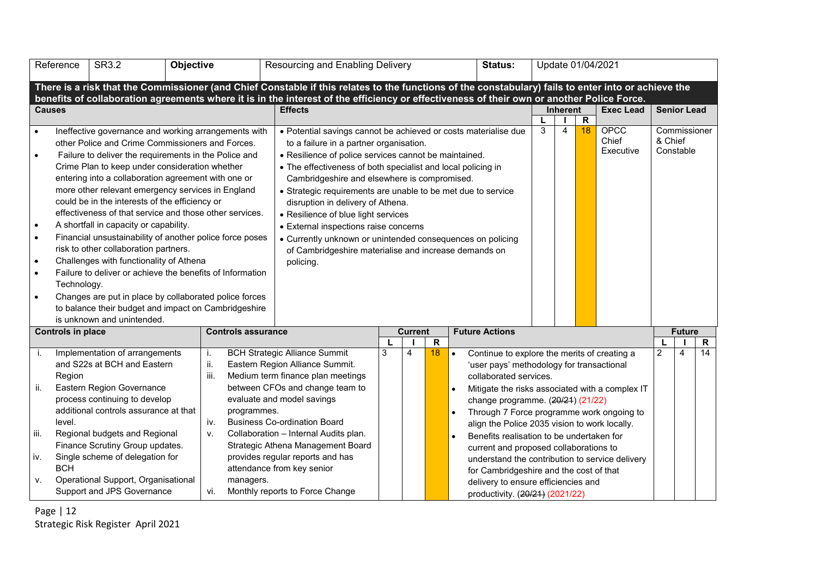| Reference                                                                               |                   | SR3.2                                                                                                                                                                                                                                                                                                                                                                                                                                                                                                                                                                                                                                                                                                                                                                                                                 | Objective |                                               | Resourcing and Enabling Delivery                                                                                                                                                                                                                                                                                                                                                                                                                                                                                                                                                                             |   |                |                         |           | Status:                                                                                                                                                                                                                                                                                                                                                                                                                                             |   |                 |              | Update 01/04/2021                 |         |                           |              |
|-----------------------------------------------------------------------------------------|-------------------|-----------------------------------------------------------------------------------------------------------------------------------------------------------------------------------------------------------------------------------------------------------------------------------------------------------------------------------------------------------------------------------------------------------------------------------------------------------------------------------------------------------------------------------------------------------------------------------------------------------------------------------------------------------------------------------------------------------------------------------------------------------------------------------------------------------------------|-----------|-----------------------------------------------|--------------------------------------------------------------------------------------------------------------------------------------------------------------------------------------------------------------------------------------------------------------------------------------------------------------------------------------------------------------------------------------------------------------------------------------------------------------------------------------------------------------------------------------------------------------------------------------------------------------|---|----------------|-------------------------|-----------|-----------------------------------------------------------------------------------------------------------------------------------------------------------------------------------------------------------------------------------------------------------------------------------------------------------------------------------------------------------------------------------------------------------------------------------------------------|---|-----------------|--------------|-----------------------------------|---------|---------------------------|--------------|
|                                                                                         |                   |                                                                                                                                                                                                                                                                                                                                                                                                                                                                                                                                                                                                                                                                                                                                                                                                                       |           |                                               | There is a risk that the Commissioner (and Chief Constable if this relates to the functions of the constabulary) fails to enter into or achieve the<br>benefits of collaboration agreements where it is in the interest of the efficiency or effectiveness of their own or another Police Force.                                                                                                                                                                                                                                                                                                             |   |                |                         |           |                                                                                                                                                                                                                                                                                                                                                                                                                                                     |   |                 |              |                                   |         |                           |              |
| <b>Causes</b>                                                                           |                   |                                                                                                                                                                                                                                                                                                                                                                                                                                                                                                                                                                                                                                                                                                                                                                                                                       |           |                                               | <b>Effects</b>                                                                                                                                                                                                                                                                                                                                                                                                                                                                                                                                                                                               |   |                |                         |           |                                                                                                                                                                                                                                                                                                                                                                                                                                                     |   | <b>Inherent</b> |              | <b>Exec Lead</b>                  |         | <b>Senior Lead</b>        |              |
|                                                                                         |                   |                                                                                                                                                                                                                                                                                                                                                                                                                                                                                                                                                                                                                                                                                                                                                                                                                       |           |                                               |                                                                                                                                                                                                                                                                                                                                                                                                                                                                                                                                                                                                              |   |                |                         |           |                                                                                                                                                                                                                                                                                                                                                                                                                                                     |   |                 | $\mathsf{R}$ |                                   |         |                           |              |
| $\bullet$<br>$\bullet$<br>$\bullet$<br>$\bullet$<br>$\bullet$<br>$\bullet$<br>$\bullet$ | Technology.       | Ineffective governance and working arrangements with<br>other Police and Crime Commissioners and Forces.<br>Failure to deliver the requirements in the Police and<br>Crime Plan to keep under consideration whether<br>entering into a collaboration agreement with one or<br>more other relevant emergency services in England<br>could be in the interests of the efficiency or<br>effectiveness of that service and those other services.<br>A shortfall in capacity or capability.<br>Financial unsustainability of another police force poses<br>risk to other collaboration partners.<br>Challenges with functionality of Athena<br>Failure to deliver or achieve the benefits of Information<br>Changes are put in place by collaborated police forces<br>to balance their budget and impact on Cambridgeshire |           |                                               | • Potential savings cannot be achieved or costs materialise due<br>to a failure in a partner organisation.<br>• Resilience of police services cannot be maintained.<br>• The effectiveness of both specialist and local policing in<br>Cambridgeshire and elsewhere is compromised.<br>• Strategic requirements are unable to be met due to service<br>disruption in delivery of Athena.<br>• Resilience of blue light services<br>• External inspections raise concerns<br>• Currently unknown or unintended consequences on policing<br>of Cambridgeshire materialise and increase demands on<br>policing. |   |                |                         |           |                                                                                                                                                                                                                                                                                                                                                                                                                                                     | 3 | $\overline{4}$  | 18           | <b>OPCC</b><br>Chief<br>Executive | & Chief | Commissioner<br>Constable |              |
|                                                                                         |                   | is unknown and unintended.                                                                                                                                                                                                                                                                                                                                                                                                                                                                                                                                                                                                                                                                                                                                                                                            |           |                                               |                                                                                                                                                                                                                                                                                                                                                                                                                                                                                                                                                                                                              |   |                |                         |           |                                                                                                                                                                                                                                                                                                                                                                                                                                                     |   |                 |              |                                   |         |                           |              |
|                                                                                         | Controls in place |                                                                                                                                                                                                                                                                                                                                                                                                                                                                                                                                                                                                                                                                                                                                                                                                                       |           | <b>Controls assurance</b>                     |                                                                                                                                                                                                                                                                                                                                                                                                                                                                                                                                                                                                              |   | <b>Current</b> |                         |           | <b>Future Actions</b>                                                                                                                                                                                                                                                                                                                                                                                                                               |   |                 |              |                                   |         | <b>Future</b>             |              |
|                                                                                         |                   |                                                                                                                                                                                                                                                                                                                                                                                                                                                                                                                                                                                                                                                                                                                                                                                                                       |           |                                               |                                                                                                                                                                                                                                                                                                                                                                                                                                                                                                                                                                                                              |   |                | $\overline{\mathbf{R}}$ |           |                                                                                                                                                                                                                                                                                                                                                                                                                                                     |   |                 |              |                                   |         |                           | $\mathsf{R}$ |
| j.<br>ii.<br>iii.<br>iv.                                                                | Region<br>level.  | Implementation of arrangements<br>and S22s at BCH and Eastern<br>Eastern Region Governance<br>process continuing to develop<br>additional controls assurance at that<br>Regional budgets and Regional<br>Finance Scrutiny Group updates.<br>Single scheme of delegation for                                                                                                                                                                                                                                                                                                                                                                                                                                                                                                                                           |           | i.<br>ii.<br>iii.<br>programmes.<br>iv.<br>v. | <b>BCH Strategic Alliance Summit</b><br>Eastern Region Alliance Summit.<br>Medium term finance plan meetings<br>between CFOs and change team to<br>evaluate and model savings<br><b>Business Co-ordination Board</b><br>Collaboration - Internal Audits plan.<br>Strategic Athena Management Board<br>provides regular reports and has                                                                                                                                                                                                                                                                       | 3 | $\overline{4}$ | 18                      | $\bullet$ | Continue to explore the merits of creating a<br>'user pays' methodology for transactional<br>collaborated services.<br>Mitigate the risks associated with a complex IT<br>change programme. (20/21) (21/22)<br>Through 7 Force programme work ongoing to<br>align the Police 2035 vision to work locally.<br>Benefits realisation to be undertaken for<br>current and proposed collaborations to<br>understand the contribution to service delivery |   |                 |              |                                   | 2       | 4                         | 14           |
| v.                                                                                      | <b>BCH</b>        | Operational Support, Organisational<br>Support and JPS Governance                                                                                                                                                                                                                                                                                                                                                                                                                                                                                                                                                                                                                                                                                                                                                     |           | managers.<br>vi.                              | attendance from key senior<br>Monthly reports to Force Change                                                                                                                                                                                                                                                                                                                                                                                                                                                                                                                                                |   |                |                         |           | for Cambridgeshire and the cost of that<br>delivery to ensure efficiencies and<br>productivity. (20/21) (2021/22)                                                                                                                                                                                                                                                                                                                                   |   |                 |              |                                   |         |                           |              |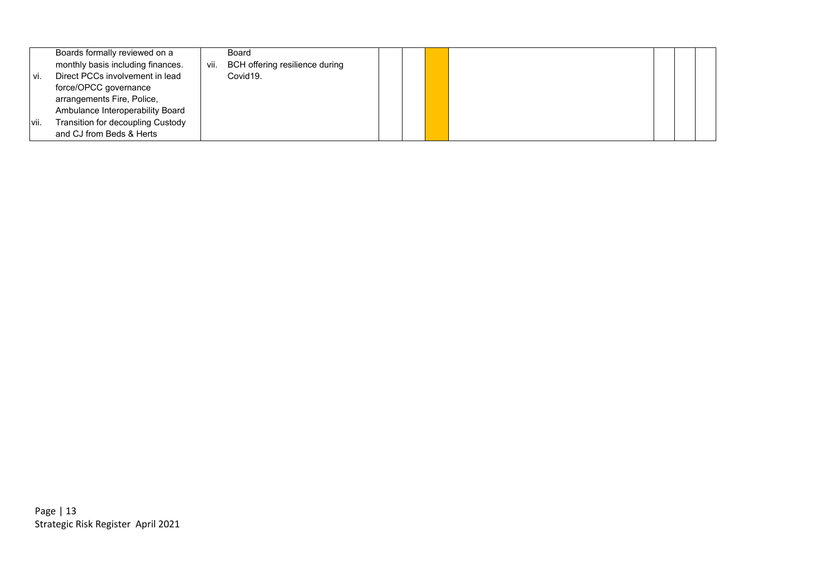|       | Boards formally reviewed on a     | Board                                  |  |  |  |  |
|-------|-----------------------------------|----------------------------------------|--|--|--|--|
|       | monthly basis including finances. | BCH offering resilience during<br>vii. |  |  |  |  |
| vi.   | Direct PCCs involvement in lead   | Covid19.                               |  |  |  |  |
|       | force/OPCC governance             |                                        |  |  |  |  |
|       | arrangements Fire, Police,        |                                        |  |  |  |  |
|       | Ambulance Interoperability Board  |                                        |  |  |  |  |
| Ivii. | Transition for decoupling Custody |                                        |  |  |  |  |
|       | and CJ from Beds & Herts          |                                        |  |  |  |  |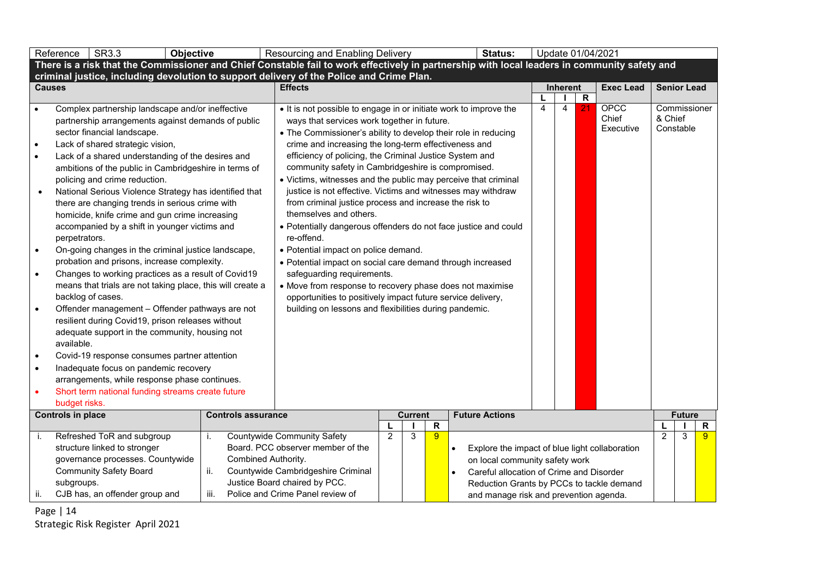|                                                                                                                   | Reference<br>SR3.3<br>Objective                                                                                                                                                                                                                                                                                                                                                                                                                                                                                                                                                                                                                                                                                                                                                                                                                                                                                                                                                                                                                                                                                                                                                                   |                           | Resourcing and Enabling Delivery                                                                                                                                                                                                                                                                                                                                                                                                                                                                                                                                                                                                                                                                                                                                                                                                                                                                                                                                                            |                |                |   | Status:                                        |                |          |                    | Update 01/04/2021          |                |                           |   |
|-------------------------------------------------------------------------------------------------------------------|---------------------------------------------------------------------------------------------------------------------------------------------------------------------------------------------------------------------------------------------------------------------------------------------------------------------------------------------------------------------------------------------------------------------------------------------------------------------------------------------------------------------------------------------------------------------------------------------------------------------------------------------------------------------------------------------------------------------------------------------------------------------------------------------------------------------------------------------------------------------------------------------------------------------------------------------------------------------------------------------------------------------------------------------------------------------------------------------------------------------------------------------------------------------------------------------------|---------------------------|---------------------------------------------------------------------------------------------------------------------------------------------------------------------------------------------------------------------------------------------------------------------------------------------------------------------------------------------------------------------------------------------------------------------------------------------------------------------------------------------------------------------------------------------------------------------------------------------------------------------------------------------------------------------------------------------------------------------------------------------------------------------------------------------------------------------------------------------------------------------------------------------------------------------------------------------------------------------------------------------|----------------|----------------|---|------------------------------------------------|----------------|----------|--------------------|----------------------------|----------------|---------------------------|---|
|                                                                                                                   | There is a risk that the Commissioner and Chief Constable fail to work effectively in partnership with local leaders in community safety and                                                                                                                                                                                                                                                                                                                                                                                                                                                                                                                                                                                                                                                                                                                                                                                                                                                                                                                                                                                                                                                      |                           |                                                                                                                                                                                                                                                                                                                                                                                                                                                                                                                                                                                                                                                                                                                                                                                                                                                                                                                                                                                             |                |                |   |                                                |                |          |                    |                            |                |                           |   |
|                                                                                                                   | criminal justice, including devolution to support delivery of the Police and Crime Plan.                                                                                                                                                                                                                                                                                                                                                                                                                                                                                                                                                                                                                                                                                                                                                                                                                                                                                                                                                                                                                                                                                                          |                           |                                                                                                                                                                                                                                                                                                                                                                                                                                                                                                                                                                                                                                                                                                                                                                                                                                                                                                                                                                                             |                |                |   |                                                |                |          |                    |                            |                |                           |   |
| <b>Causes</b>                                                                                                     |                                                                                                                                                                                                                                                                                                                                                                                                                                                                                                                                                                                                                                                                                                                                                                                                                                                                                                                                                                                                                                                                                                                                                                                                   |                           | <b>Effects</b>                                                                                                                                                                                                                                                                                                                                                                                                                                                                                                                                                                                                                                                                                                                                                                                                                                                                                                                                                                              |                |                |   |                                                |                | Inherent |                    | <b>Exec Lead</b>           |                | <b>Senior Lead</b>        |   |
| $\bullet$<br>$\bullet$<br>$\bullet$<br>$\bullet$<br>$\bullet$<br>$\bullet$<br>$\bullet$<br>$\bullet$<br>$\bullet$ | Complex partnership landscape and/or ineffective<br>partnership arrangements against demands of public<br>sector financial landscape.<br>Lack of shared strategic vision,<br>Lack of a shared understanding of the desires and<br>ambitions of the public in Cambridgeshire in terms of<br>policing and crime reduction.<br>National Serious Violence Strategy has identified that<br>there are changing trends in serious crime with<br>homicide, knife crime and gun crime increasing<br>accompanied by a shift in younger victims and<br>perpetrators.<br>On-going changes in the criminal justice landscape,<br>probation and prisons, increase complexity.<br>Changes to working practices as a result of Covid19<br>means that trials are not taking place, this will create a<br>backlog of cases.<br>Offender management - Offender pathways are not<br>resilient during Covid19, prison releases without<br>adequate support in the community, housing not<br>available.<br>Covid-19 response consumes partner attention<br>Inadequate focus on pandemic recovery<br>arrangements, while response phase continues.<br>Short term national funding streams create future<br>budget risks. |                           | • It is not possible to engage in or initiate work to improve the<br>ways that services work together in future.<br>• The Commissioner's ability to develop their role in reducing<br>crime and increasing the long-term effectiveness and<br>efficiency of policing, the Criminal Justice System and<br>community safety in Cambridgeshire is compromised.<br>• Victims, witnesses and the public may perceive that criminal<br>justice is not effective. Victims and witnesses may withdraw<br>from criminal justice process and increase the risk to<br>themselves and others.<br>• Potentially dangerous offenders do not face justice and could<br>re-offend.<br>• Potential impact on police demand.<br>• Potential impact on social care demand through increased<br>safeguarding requirements.<br>• Move from response to recovery phase does not maximise<br>opportunities to positively impact future service delivery,<br>building on lessons and flexibilities during pandemic. |                |                |   |                                                | $\overline{4}$ | 4        | $\mathsf{R}$<br>21 | OPCC<br>Chief<br>Executive | & Chief        | Commissioner<br>Constable |   |
|                                                                                                                   | <b>Controls in place</b>                                                                                                                                                                                                                                                                                                                                                                                                                                                                                                                                                                                                                                                                                                                                                                                                                                                                                                                                                                                                                                                                                                                                                                          | <b>Controls assurance</b> |                                                                                                                                                                                                                                                                                                                                                                                                                                                                                                                                                                                                                                                                                                                                                                                                                                                                                                                                                                                             |                | <b>Current</b> | R | <b>Future Actions</b>                          |                |          |                    |                            |                | <b>Future</b>             | R |
| -L.                                                                                                               | Refreshed ToR and subgroup                                                                                                                                                                                                                                                                                                                                                                                                                                                                                                                                                                                                                                                                                                                                                                                                                                                                                                                                                                                                                                                                                                                                                                        |                           | <b>Countywide Community Safety</b>                                                                                                                                                                                                                                                                                                                                                                                                                                                                                                                                                                                                                                                                                                                                                                                                                                                                                                                                                          | $\overline{2}$ | 3              | 9 |                                                |                |          |                    |                            | $\overline{2}$ | 3                         | 9 |
|                                                                                                                   | structure linked to stronger                                                                                                                                                                                                                                                                                                                                                                                                                                                                                                                                                                                                                                                                                                                                                                                                                                                                                                                                                                                                                                                                                                                                                                      |                           | Board. PCC observer member of the                                                                                                                                                                                                                                                                                                                                                                                                                                                                                                                                                                                                                                                                                                                                                                                                                                                                                                                                                           |                |                |   | Explore the impact of blue light collaboration |                |          |                    |                            |                |                           |   |
|                                                                                                                   | governance processes. Countywide                                                                                                                                                                                                                                                                                                                                                                                                                                                                                                                                                                                                                                                                                                                                                                                                                                                                                                                                                                                                                                                                                                                                                                  | Combined Authority.       |                                                                                                                                                                                                                                                                                                                                                                                                                                                                                                                                                                                                                                                                                                                                                                                                                                                                                                                                                                                             |                |                |   | on local community safety work                 |                |          |                    |                            |                |                           |   |
|                                                                                                                   | <b>Community Safety Board</b>                                                                                                                                                                                                                                                                                                                                                                                                                                                                                                                                                                                                                                                                                                                                                                                                                                                                                                                                                                                                                                                                                                                                                                     | ii.                       | Countywide Cambridgeshire Criminal                                                                                                                                                                                                                                                                                                                                                                                                                                                                                                                                                                                                                                                                                                                                                                                                                                                                                                                                                          |                |                |   | Careful allocation of Crime and Disorder       |                |          |                    |                            |                |                           |   |
|                                                                                                                   | subgroups.                                                                                                                                                                                                                                                                                                                                                                                                                                                                                                                                                                                                                                                                                                                                                                                                                                                                                                                                                                                                                                                                                                                                                                                        |                           | Justice Board chaired by PCC.                                                                                                                                                                                                                                                                                                                                                                                                                                                                                                                                                                                                                                                                                                                                                                                                                                                                                                                                                               |                |                |   | Reduction Grants by PCCs to tackle demand      |                |          |                    |                            |                |                           |   |
| ii.                                                                                                               | CJB has, an offender group and                                                                                                                                                                                                                                                                                                                                                                                                                                                                                                                                                                                                                                                                                                                                                                                                                                                                                                                                                                                                                                                                                                                                                                    | iii.                      | Police and Crime Panel review of                                                                                                                                                                                                                                                                                                                                                                                                                                                                                                                                                                                                                                                                                                                                                                                                                                                                                                                                                            |                |                |   | and manage risk and prevention agenda.         |                |          |                    |                            |                |                           |   |

Page | 14 Strategic Risk Register April 2021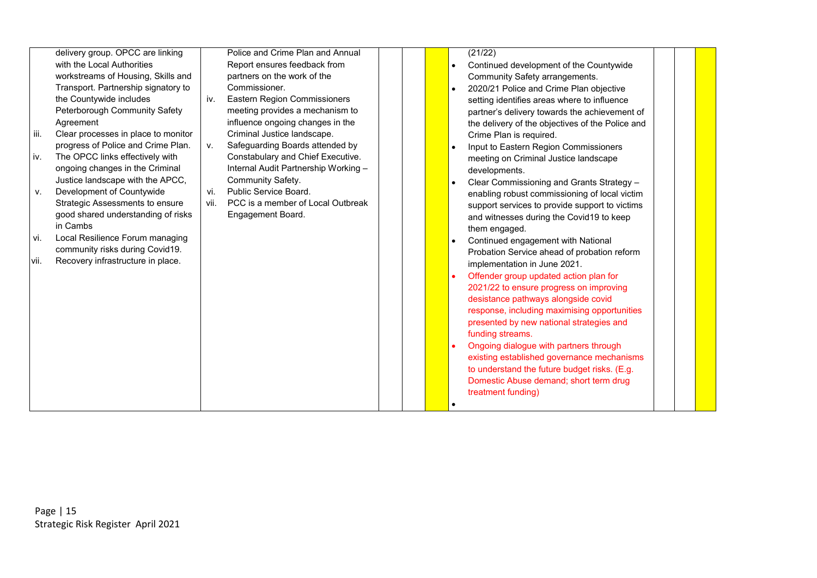|      | delivery group. OPCC are linking    |      | Police and Crime Plan and Annual     |  | (21/22)                                          |  |  |
|------|-------------------------------------|------|--------------------------------------|--|--------------------------------------------------|--|--|
|      | with the Local Authorities          |      | Report ensures feedback from         |  |                                                  |  |  |
|      | workstreams of Housing, Skills and  |      | partners on the work of the          |  | Continued development of the Countywide          |  |  |
|      |                                     |      | Commissioner.                        |  | Community Safety arrangements.                   |  |  |
|      | Transport. Partnership signatory to |      |                                      |  | 2020/21 Police and Crime Plan objective          |  |  |
|      | the Countywide includes             | iv.  | Eastern Region Commissioners         |  | setting identifies areas where to influence      |  |  |
|      | Peterborough Community Safety       |      | meeting provides a mechanism to      |  | partner's delivery towards the achievement of    |  |  |
|      | Agreement                           |      | influence ongoing changes in the     |  | the delivery of the objectives of the Police and |  |  |
| iii. | Clear processes in place to monitor |      | Criminal Justice landscape.          |  | Crime Plan is required.                          |  |  |
|      | progress of Police and Crime Plan.  | V.   | Safeguarding Boards attended by      |  | Input to Eastern Region Commissioners            |  |  |
| iv.  | The OPCC links effectively with     |      | Constabulary and Chief Executive.    |  | meeting on Criminal Justice landscape            |  |  |
|      | ongoing changes in the Criminal     |      | Internal Audit Partnership Working - |  | developments.                                    |  |  |
|      | Justice landscape with the APCC,    |      | Community Safety.                    |  | Clear Commissioning and Grants Strategy -        |  |  |
| V.   | Development of Countywide           | vi.  | Public Service Board.                |  | enabling robust commissioning of local victim    |  |  |
|      | Strategic Assessments to ensure     | vii. | PCC is a member of Local Outbreak    |  | support services to provide support to victims   |  |  |
|      | good shared understanding of risks  |      | Engagement Board.                    |  | and witnesses during the Covid19 to keep         |  |  |
|      | in Cambs                            |      |                                      |  | them engaged.                                    |  |  |
| vi.  | Local Resilience Forum managing     |      |                                      |  | Continued engagement with National               |  |  |
|      | community risks during Covid19.     |      |                                      |  | Probation Service ahead of probation reform      |  |  |
| vii. | Recovery infrastructure in place.   |      |                                      |  | implementation in June 2021.                     |  |  |
|      |                                     |      |                                      |  | Offender group updated action plan for           |  |  |
|      |                                     |      |                                      |  | 2021/22 to ensure progress on improving          |  |  |
|      |                                     |      |                                      |  | desistance pathways alongside covid              |  |  |
|      |                                     |      |                                      |  | response, including maximising opportunities     |  |  |
|      |                                     |      |                                      |  | presented by new national strategies and         |  |  |
|      |                                     |      |                                      |  | funding streams.                                 |  |  |
|      |                                     |      |                                      |  | Ongoing dialogue with partners through           |  |  |
|      |                                     |      |                                      |  | existing established governance mechanisms       |  |  |
|      |                                     |      |                                      |  | to understand the future budget risks. (E.g.     |  |  |
|      |                                     |      |                                      |  | Domestic Abuse demand; short term drug           |  |  |
|      |                                     |      |                                      |  | treatment funding)                               |  |  |
|      |                                     |      |                                      |  |                                                  |  |  |
|      |                                     |      |                                      |  |                                                  |  |  |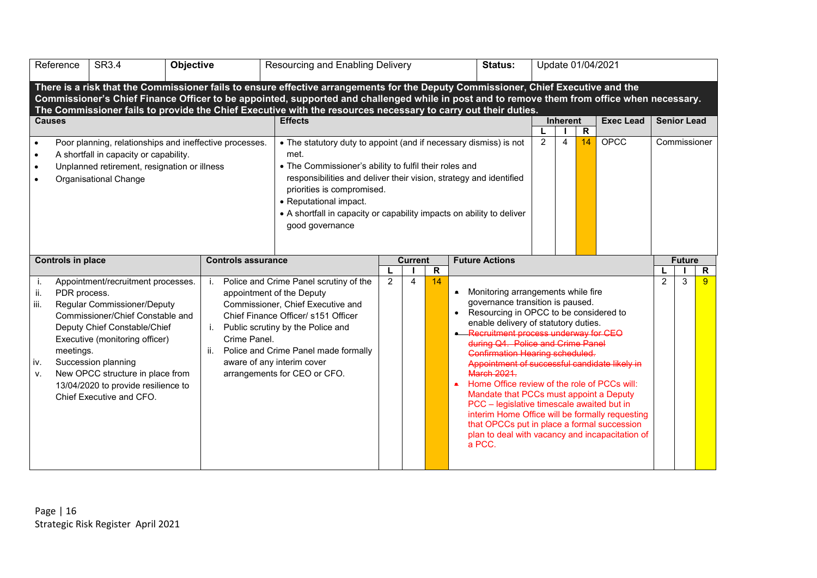| Reference                                                        | SR3.4                                                                                                                                                                                                                                                                                                                                                                                             | Objective                                              | Resourcing and Enabling Delivery                                                                                                                                                                                                                                                                                                                                                |                |                     |                    | Status:                                                                                                                                                                                                                                                                                                                                                                                                                                                                                                                                                                                                                                                                                                   |                |                      |                      | Update 01/04/2021        |                    |                    |              |
|------------------------------------------------------------------|---------------------------------------------------------------------------------------------------------------------------------------------------------------------------------------------------------------------------------------------------------------------------------------------------------------------------------------------------------------------------------------------------|--------------------------------------------------------|---------------------------------------------------------------------------------------------------------------------------------------------------------------------------------------------------------------------------------------------------------------------------------------------------------------------------------------------------------------------------------|----------------|---------------------|--------------------|-----------------------------------------------------------------------------------------------------------------------------------------------------------------------------------------------------------------------------------------------------------------------------------------------------------------------------------------------------------------------------------------------------------------------------------------------------------------------------------------------------------------------------------------------------------------------------------------------------------------------------------------------------------------------------------------------------------|----------------|----------------------|----------------------|--------------------------|--------------------|--------------------|--------------|
|                                                                  | There is a risk that the Commissioner fails to ensure effective arrangements for the Deputy Commissioner, Chief Executive and the<br>Commissioner's Chief Finance Officer to be appointed, supported and challenged while in post and to remove them from office when necessary.<br>The Commissioner fails to provide the Chief Executive with the resources necessary to carry out their duties. |                                                        |                                                                                                                                                                                                                                                                                                                                                                                 |                |                     |                    |                                                                                                                                                                                                                                                                                                                                                                                                                                                                                                                                                                                                                                                                                                           |                |                      |                      |                          |                    |                    |              |
| <b>Causes</b>                                                    | Poor planning, relationships and ineffective processes.<br>A shortfall in capacity or capability.<br>Unplanned retirement, resignation or illness<br>Organisational Change                                                                                                                                                                                                                        |                                                        | <b>Effects</b><br>• The statutory duty to appoint (and if necessary dismiss) is not<br>met.<br>• The Commissioner's ability to fulfil their roles and<br>responsibilities and deliver their vision, strategy and identified<br>priorities is compromised.<br>• Reputational impact.<br>• A shortfall in capacity or capability impacts on ability to deliver<br>good governance |                |                     |                    |                                                                                                                                                                                                                                                                                                                                                                                                                                                                                                                                                                                                                                                                                                           | $\overline{2}$ | <b>Inherent</b><br>4 | $\overline{R}$<br>14 | <b>Exec Lead</b><br>OPCC | <b>Senior Lead</b> |                    | Commissioner |
| Controls in place<br>Τ.<br>ii.<br>iii.<br>meetings.<br>iv.<br>٧. | Appointment/recruitment processes.<br>PDR process.<br>Regular Commissioner/Deputy<br>Commissioner/Chief Constable and<br>Deputy Chief Constable/Chief<br>Executive (monitoring officer)<br>Succession planning<br>New OPCC structure in place from<br>13/04/2020 to provide resilience to<br>Chief Executive and CFO.                                                                             | <b>Controls assurance</b><br>i.<br>Crime Panel.<br>ii. | Police and Crime Panel scrutiny of the<br>appointment of the Deputy<br>Commissioner, Chief Executive and<br>Chief Finance Officer/ s151 Officer<br>Public scrutiny by the Police and<br>Police and Crime Panel made formally<br>aware of any interim cover<br>arrangements for CEO or CFO.                                                                                      | $\overline{2}$ | <b>Current</b><br>4 | $\mathsf{R}$<br>14 | <b>Future Actions</b><br>Monitoring arrangements while fire<br>$\bullet$<br>governance transition is paused.<br>Resourcing in OPCC to be considered to<br>$\bullet$<br>enable delivery of statutory duties.<br><b>Recruitment process underway for CEO</b><br>during Q4. Police and Crime Panel<br>Confirmation Hearing scheduled.<br>Appointment of successful candidate likely in<br>March 2021<br>Home Office review of the role of PCCs will:<br>Mandate that PCCs must appoint a Deputy<br>PCC - legislative timescale awaited but in<br>interim Home Office will be formally requesting<br>that OPCCs put in place a formal succession<br>plan to deal with vacancy and incapacitation of<br>a PCC. |                |                      |                      |                          | 2                  | <b>Future</b><br>3 | R<br>9       |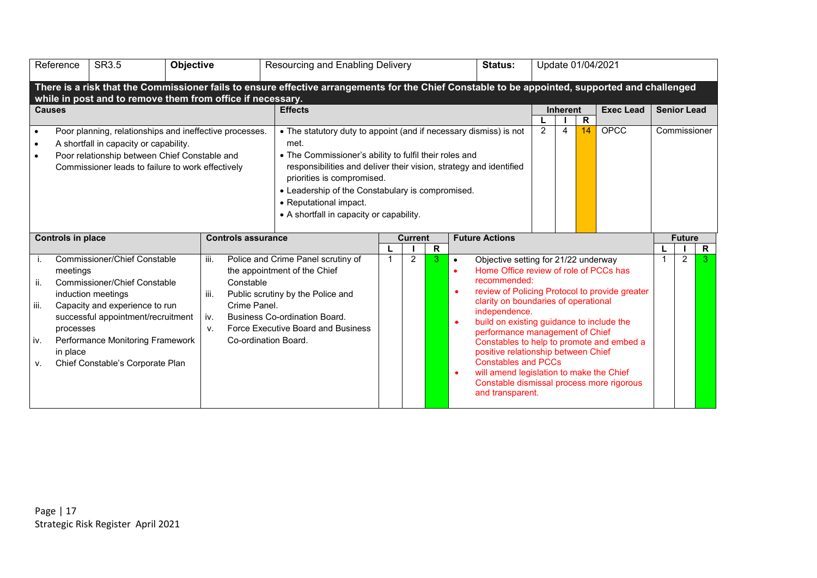| Reference                                              | SR3.5                                                                                                                                                                                                                                                         | <b>Objective</b>          |                                                   | Resourcing and Enabling Delivery                                                                                                                                                                                                                                                                                                                                                    |                |              |                                                               | Status:                                                                                                                                                                                                                                                                                                                                                                      |   |                      |          | Update 01/04/2021                                                                                                                        |                                    |              |
|--------------------------------------------------------|---------------------------------------------------------------------------------------------------------------------------------------------------------------------------------------------------------------------------------------------------------------|---------------------------|---------------------------------------------------|-------------------------------------------------------------------------------------------------------------------------------------------------------------------------------------------------------------------------------------------------------------------------------------------------------------------------------------------------------------------------------------|----------------|--------------|---------------------------------------------------------------|------------------------------------------------------------------------------------------------------------------------------------------------------------------------------------------------------------------------------------------------------------------------------------------------------------------------------------------------------------------------------|---|----------------------|----------|------------------------------------------------------------------------------------------------------------------------------------------|------------------------------------|--------------|
|                                                        | while in post and to remove them from office if necessary.                                                                                                                                                                                                    |                           |                                                   | There is a risk that the Commissioner fails to ensure effective arrangements for the Chief Constable to be appointed, supported and challenged                                                                                                                                                                                                                                      |                |              |                                                               |                                                                                                                                                                                                                                                                                                                                                                              |   |                      |          |                                                                                                                                          |                                    |              |
| <b>Causes</b><br>$\bullet$<br>$\bullet$                | Poor planning, relationships and ineffective processes.<br>A shortfall in capacity or capability.<br>Poor relationship between Chief Constable and<br>Commissioner leads to failure to work effectively                                                       |                           |                                                   | <b>Effects</b><br>• The statutory duty to appoint (and if necessary dismiss) is not<br>met.<br>• The Commissioner's ability to fulfil their roles and<br>responsibilities and deliver their vision, strategy and identified<br>priorities is compromised.<br>• Leadership of the Constabulary is compromised.<br>• Reputational impact.<br>• A shortfall in capacity or capability. |                |              |                                                               |                                                                                                                                                                                                                                                                                                                                                                              | 2 | <b>Inherent</b><br>4 | R.<br>14 | <b>Exec Lead</b><br><b>OPCC</b>                                                                                                          | <b>Senior Lead</b><br>Commissioner |              |
| Controls in place                                      |                                                                                                                                                                                                                                                               |                           | <b>Controls assurance</b>                         |                                                                                                                                                                                                                                                                                                                                                                                     | <b>Current</b> | $\mathsf{R}$ | <b>Future Actions</b>                                         |                                                                                                                                                                                                                                                                                                                                                                              |   |                      |          |                                                                                                                                          | <b>Future</b>                      | $\mathsf{R}$ |
| İ.<br>meetings<br>ii.<br>iii.<br>iv.<br>in place<br>v. | <b>Commissioner/Chief Constable</b><br><b>Commissioner/Chief Constable</b><br>induction meetings<br>Capacity and experience to run<br>successful appointment/recruitment<br>processes<br>Performance Monitoring Framework<br>Chief Constable's Corporate Plan | iii.<br>III.<br>iv.<br>V. | Constable<br>Crime Panel.<br>Co-ordination Board. | Police and Crime Panel scrutiny of<br>the appointment of the Chief<br>Public scrutiny by the Police and<br><b>Business Co-ordination Board.</b><br>Force Executive Board and Business                                                                                                                                                                                               | $\overline{2}$ | 3            | $\bullet$<br>$\bullet$<br>$\bullet$<br>$\bullet$<br>$\bullet$ | Objective setting for 21/22 underway<br>Home Office review of role of PCCs has<br>recommended:<br>clarity on boundaries of operational<br>independence.<br>build on existing guidance to include the<br>performance management of Chief<br>positive relationship between Chief<br><b>Constables and PCCs</b><br>will amend legislation to make the Chief<br>and transparent. |   |                      |          | review of Policing Protocol to provide greater<br>Constables to help to promote and embed a<br>Constable dismissal process more rigorous | 2                                  | -3.          |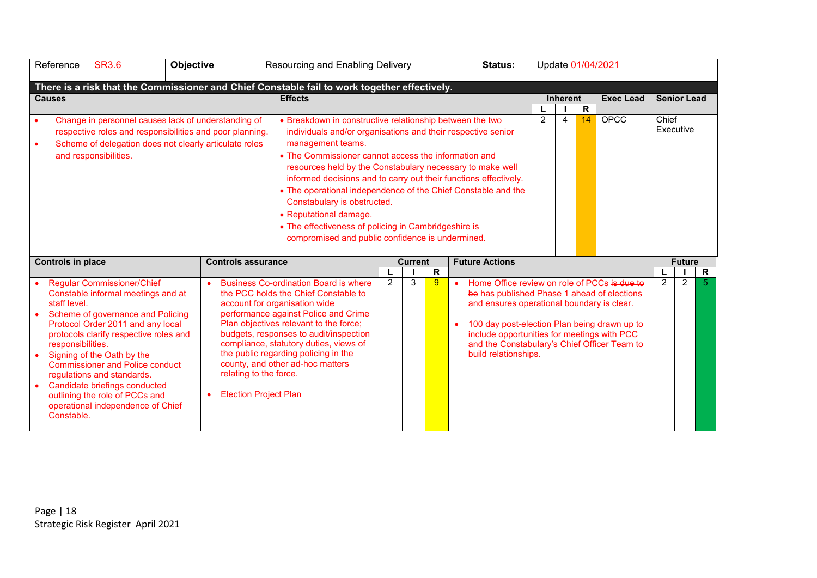| Reference                                       | <b>SR3.6</b>                                                                                                                                                                                                                                                                                                                                                                                              | <b>Objective</b>                                                                                                                                                          | <b>Resourcing and Enabling Delivery</b>                                                                                                                                                                                                                                                                                                                                                                                                                                                                                                                                      |                |                |             |                        | Status:                                                                                                                                                                                                                                                                                                          |                |                 |             | Update 01/04/2021 |       |                    |                     |
|-------------------------------------------------|-----------------------------------------------------------------------------------------------------------------------------------------------------------------------------------------------------------------------------------------------------------------------------------------------------------------------------------------------------------------------------------------------------------|---------------------------------------------------------------------------------------------------------------------------------------------------------------------------|------------------------------------------------------------------------------------------------------------------------------------------------------------------------------------------------------------------------------------------------------------------------------------------------------------------------------------------------------------------------------------------------------------------------------------------------------------------------------------------------------------------------------------------------------------------------------|----------------|----------------|-------------|------------------------|------------------------------------------------------------------------------------------------------------------------------------------------------------------------------------------------------------------------------------------------------------------------------------------------------------------|----------------|-----------------|-------------|-------------------|-------|--------------------|---------------------|
| <b>Causes</b>                                   |                                                                                                                                                                                                                                                                                                                                                                                                           |                                                                                                                                                                           | There is a risk that the Commissioner and Chief Constable fail to work together effectively.<br><b>Effects</b>                                                                                                                                                                                                                                                                                                                                                                                                                                                               |                |                |             |                        |                                                                                                                                                                                                                                                                                                                  |                | <b>Inherent</b> | $\mathbf R$ | <b>Exec Lead</b>  |       | <b>Senior Lead</b> |                     |
|                                                 | and responsibilities.                                                                                                                                                                                                                                                                                                                                                                                     | Change in personnel causes lack of understanding of<br>respective roles and responsibilities and poor planning.<br>Scheme of delegation does not clearly articulate roles | • Breakdown in constructive relationship between the two<br>individuals and/or organisations and their respective senior<br>management teams.<br>• The Commissioner cannot access the information and<br>resources held by the Constabulary necessary to make well<br>informed decisions and to carry out their functions effectively.<br>• The operational independence of the Chief Constable and the<br>Constabulary is obstructed.<br>• Reputational damage.<br>• The effectiveness of policing in Cambridgeshire is<br>compromised and public confidence is undermined. |                |                |             |                        |                                                                                                                                                                                                                                                                                                                  | $\overline{2}$ | $\overline{4}$  | 14          | <b>OPCC</b>       | Chief | Executive          |                     |
| Controls in place                               |                                                                                                                                                                                                                                                                                                                                                                                                           | <b>Controls assurance</b>                                                                                                                                                 |                                                                                                                                                                                                                                                                                                                                                                                                                                                                                                                                                                              |                | <b>Current</b> | $\mathbf R$ |                        | <b>Future Actions</b>                                                                                                                                                                                                                                                                                            |                |                 |             |                   |       | <b>Future</b>      |                     |
| staff level.<br>responsibilities.<br>Constable. | <b>Regular Commissioner/Chief</b><br>Constable informal meetings and at<br>Scheme of governance and Policing<br>Protocol Order 2011 and any local<br>protocols clarify respective roles and<br>Signing of the Oath by the<br><b>Commissioner and Police conduct</b><br>regulations and standards.<br>Candidate briefings conducted<br>outlining the role of PCCs and<br>operational independence of Chief |                                                                                                                                                                           | <b>Business Co-ordination Board is where</b><br>the PCC holds the Chief Constable to<br>account for organisation wide<br>performance against Police and Crime<br>Plan objectives relevant to the force;<br>budgets, responses to audit/inspection<br>compliance, statutory duties, views of<br>the public regarding policing in the<br>county, and other ad-hoc matters<br>relating to the force.<br><b>Election Project Plan</b>                                                                                                                                            | $\overline{2}$ | 3              | 9           | $\bullet$<br>$\bullet$ | Home Office review on role of PCCs is due to<br>be has published Phase 1 ahead of elections<br>and ensures operational boundary is clear.<br>100 day post-election Plan being drawn up to<br>include opportunities for meetings with PCC<br>and the Constabulary's Chief Officer Team to<br>build relationships. |                |                 |             |                   | 2     | 2                  | R<br>5 <sup>1</sup> |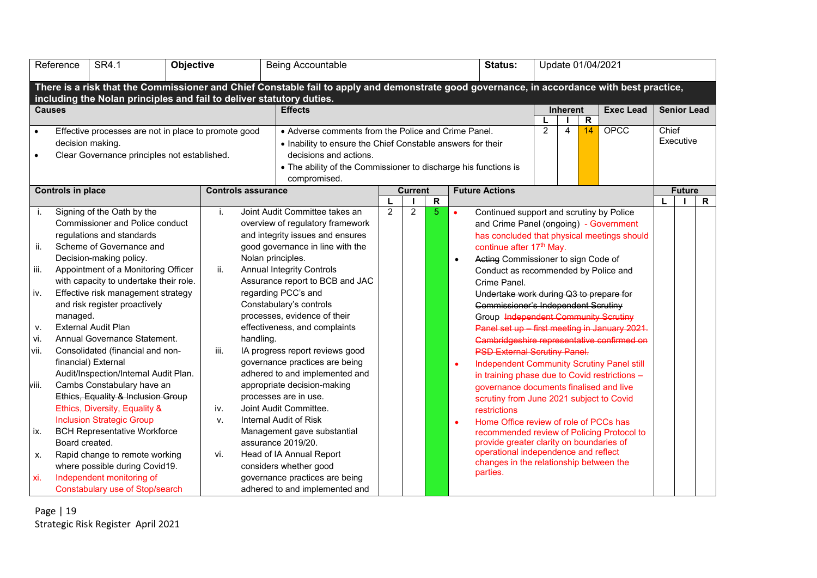| SR4.1<br>Objective<br>Reference                                                                                                                                                                                                                                                                                                                                                                                                                                                                                                                                                                                                                                                                                                                                                                                                                                                                                           | Status:<br><b>Being Accountable</b><br>Update 01/04/2021 |                                                                                                                                                                                                                                                                                                                                                                                                                                                                                                                                                                                                                                                                                                                                                             |                       |   |         |                                                  |                                                                                                                                                                                                                                                                                                                                                                                                                                                                                                                                                                                                                                                                                                                                                                                                                                                                                                                                                                                        |                |                 |              |                  |       |                    |  |
|---------------------------------------------------------------------------------------------------------------------------------------------------------------------------------------------------------------------------------------------------------------------------------------------------------------------------------------------------------------------------------------------------------------------------------------------------------------------------------------------------------------------------------------------------------------------------------------------------------------------------------------------------------------------------------------------------------------------------------------------------------------------------------------------------------------------------------------------------------------------------------------------------------------------------|----------------------------------------------------------|-------------------------------------------------------------------------------------------------------------------------------------------------------------------------------------------------------------------------------------------------------------------------------------------------------------------------------------------------------------------------------------------------------------------------------------------------------------------------------------------------------------------------------------------------------------------------------------------------------------------------------------------------------------------------------------------------------------------------------------------------------------|-----------------------|---|---------|--------------------------------------------------|----------------------------------------------------------------------------------------------------------------------------------------------------------------------------------------------------------------------------------------------------------------------------------------------------------------------------------------------------------------------------------------------------------------------------------------------------------------------------------------------------------------------------------------------------------------------------------------------------------------------------------------------------------------------------------------------------------------------------------------------------------------------------------------------------------------------------------------------------------------------------------------------------------------------------------------------------------------------------------------|----------------|-----------------|--------------|------------------|-------|--------------------|--|
| There is a risk that the Commissioner and Chief Constable fail to apply and demonstrate good governance, in accordance with best practice,                                                                                                                                                                                                                                                                                                                                                                                                                                                                                                                                                                                                                                                                                                                                                                                |                                                          |                                                                                                                                                                                                                                                                                                                                                                                                                                                                                                                                                                                                                                                                                                                                                             |                       |   |         |                                                  |                                                                                                                                                                                                                                                                                                                                                                                                                                                                                                                                                                                                                                                                                                                                                                                                                                                                                                                                                                                        |                |                 |              |                  |       |                    |  |
| including the Nolan principles and fail to deliver statutory duties.<br><b>Causes</b>                                                                                                                                                                                                                                                                                                                                                                                                                                                                                                                                                                                                                                                                                                                                                                                                                                     |                                                          | <b>Effects</b>                                                                                                                                                                                                                                                                                                                                                                                                                                                                                                                                                                                                                                                                                                                                              |                       |   |         |                                                  |                                                                                                                                                                                                                                                                                                                                                                                                                                                                                                                                                                                                                                                                                                                                                                                                                                                                                                                                                                                        |                | <b>Inherent</b> | R            | <b>Exec Lead</b> |       | <b>Senior Lead</b> |  |
| Effective processes are not in place to promote good<br>decision making.<br>Clear Governance principles not established.<br>$\bullet$                                                                                                                                                                                                                                                                                                                                                                                                                                                                                                                                                                                                                                                                                                                                                                                     |                                                          | • Adverse comments from the Police and Crime Panel.<br>• Inability to ensure the Chief Constable answers for their<br>decisions and actions.<br>• The ability of the Commissioner to discharge his functions is<br>compromised.                                                                                                                                                                                                                                                                                                                                                                                                                                                                                                                             |                       |   |         |                                                  |                                                                                                                                                                                                                                                                                                                                                                                                                                                                                                                                                                                                                                                                                                                                                                                                                                                                                                                                                                                        | $\overline{2}$ | 4               | 14           | <b>OPCC</b>      | Chief | Executive          |  |
| <b>Controls in place</b>                                                                                                                                                                                                                                                                                                                                                                                                                                                                                                                                                                                                                                                                                                                                                                                                                                                                                                  | <b>Controls assurance</b>                                |                                                                                                                                                                                                                                                                                                                                                                                                                                                                                                                                                                                                                                                                                                                                                             | <b>Future Actions</b> |   |         |                                                  |                                                                                                                                                                                                                                                                                                                                                                                                                                                                                                                                                                                                                                                                                                                                                                                                                                                                                                                                                                                        |                | <b>Future</b>   | $\mathsf{R}$ |                  |       |                    |  |
| Signing of the Oath by the<br>j.<br><b>Commissioner and Police conduct</b><br>regulations and standards<br>ii.<br>Scheme of Governance and<br>Decision-making policy.<br>iii.<br>Appointment of a Monitoring Officer<br>with capacity to undertake their role.<br>Effective risk management strategy<br>iv.<br>and risk register proactively<br>managed.<br><b>External Audit Plan</b><br>v.<br>Annual Governance Statement.<br>vi.<br>Consolidated (financial and non-<br>vii.<br>financial) External<br>Audit/Inspection/Internal Audit Plan.<br>Cambs Constabulary have an<br>viii.<br>Ethics, Equality & Inclusion Group<br>Ethics, Diversity, Equality &<br><b>Inclusion Strategic Group</b><br><b>BCH Representative Workforce</b><br>ix.<br>Board created.<br>Rapid change to remote working<br>Х.<br>where possible during Covid19.<br>Independent monitoring of<br>xi.<br><b>Constabulary use of Stop/search</b> | j.<br>ii.<br>handling.<br>iii.<br>iv.<br>٧.<br>vi.       | Joint Audit Committee takes an<br>overview of regulatory framework<br>and integrity issues and ensures<br>good governance in line with the<br>Nolan principles.<br><b>Annual Integrity Controls</b><br>Assurance report to BCB and JAC<br>regarding PCC's and<br>Constabulary's controls<br>processes, evidence of their<br>effectiveness, and complaints<br>IA progress report reviews good<br>governance practices are being<br>adhered to and implemented and<br>appropriate decision-making<br>processes are in use.<br>Joint Audit Committee.<br>Internal Audit of Risk<br>Management gave substantial<br>assurance 2019/20.<br>Head of IA Annual Report<br>considers whether good<br>governance practices are being<br>adhered to and implemented and | $\overline{2}$        | 2 | R<br>5. | $\bullet$<br>$\bullet$<br>$\bullet$<br>$\bullet$ | Continued support and scrutiny by Police<br>and Crime Panel (ongoing) - Government<br>has concluded that physical meetings should<br>continue after 17 <sup>th</sup> May.<br>Acting Commissioner to sign Code of<br>Conduct as recommended by Police and<br>Crime Panel.<br>Undertake work during Q3 to prepare for<br>Commissioner's Independent Scrutiny<br>Group Independent Community Scrutiny<br>Panel set up first meeting in January 2021.<br>Cambridgeshire representative confirmed on<br><b>PSD External Scrutiny Panel.</b><br><b>Independent Community Scrutiny Panel still</b><br>in training phase due to Covid restrictions -<br>governance documents finalised and live<br>scrutiny from June 2021 subject to Covid<br>restrictions<br>Home Office review of role of PCCs has<br>recommended review of Policing Protocol to<br>provide greater clarity on boundaries of<br>operational independence and reflect<br>changes in the relationship between the<br>parties. |                |                 |              |                  |       |                    |  |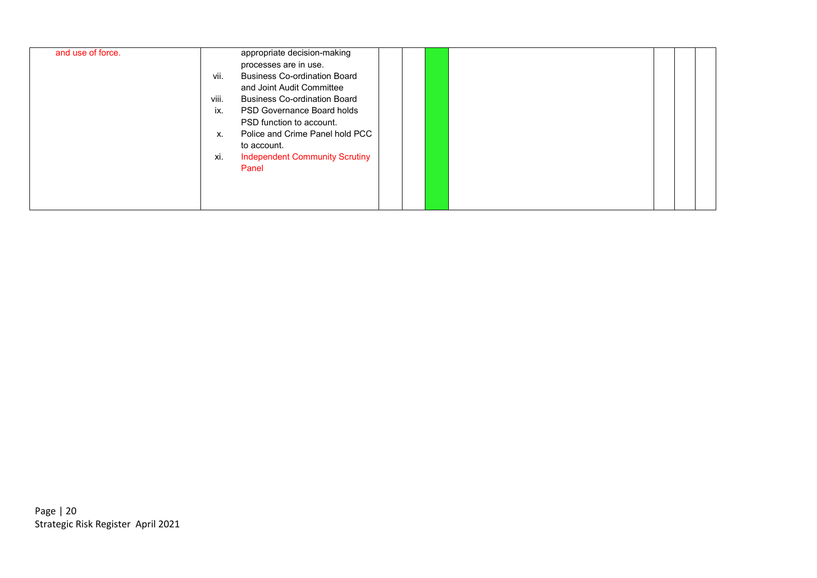| and use of force.<br>appropriate decision-making<br>processes are in use.<br>vii.<br><b>Business Co-ordination Board</b><br>and Joint Audit Committee<br>viii.<br><b>Business Co-ordination Board</b><br>ix.<br><b>PSD Governance Board holds</b><br>PSD function to account.<br>Police and Crime Panel hold PCC<br>Х.<br>to account.<br><b>Independent Community Scrutiny</b><br>xi.<br>Panel |  |
|------------------------------------------------------------------------------------------------------------------------------------------------------------------------------------------------------------------------------------------------------------------------------------------------------------------------------------------------------------------------------------------------|--|
|------------------------------------------------------------------------------------------------------------------------------------------------------------------------------------------------------------------------------------------------------------------------------------------------------------------------------------------------------------------------------------------------|--|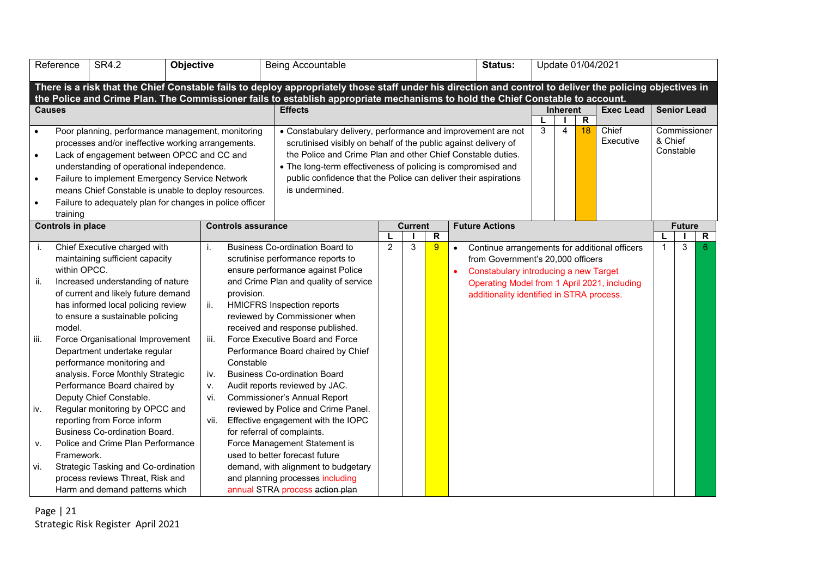|           | Reference                | SR4.2                                                                     | Objective |      |                           |                                                                                    | Being Accountable                                                                                                                                                                                                                                                                         |                       |  |   |           |  | Status:                                       |               | Update 01/04/2021 |              |                  |                      |   |              |
|-----------|--------------------------|---------------------------------------------------------------------------|-----------|------|---------------------------|------------------------------------------------------------------------------------|-------------------------------------------------------------------------------------------------------------------------------------------------------------------------------------------------------------------------------------------------------------------------------------------|-----------------------|--|---|-----------|--|-----------------------------------------------|---------------|-------------------|--------------|------------------|----------------------|---|--------------|
|           |                          |                                                                           |           |      |                           |                                                                                    | There is a risk that the Chief Constable fails to deploy appropriately those staff under his direction and control to deliver the policing objectives in<br>the Police and Crime Plan. The Commissioner fails to establish appropriate mechanisms to hold the Chief Constable to account. |                       |  |   |           |  |                                               |               |                   |              |                  |                      |   |              |
|           | <b>Causes</b>            |                                                                           |           |      |                           |                                                                                    | <b>Effects</b>                                                                                                                                                                                                                                                                            |                       |  |   |           |  |                                               |               | Inherent          |              | <b>Exec Lead</b> | <b>Senior Lead</b>   |   |              |
|           |                          |                                                                           |           |      |                           |                                                                                    |                                                                                                                                                                                                                                                                                           |                       |  |   |           |  |                                               |               |                   | $\mathsf{R}$ |                  |                      |   |              |
| $\bullet$ |                          | Poor planning, performance management, monitoring                         |           |      |                           |                                                                                    | • Constabulary delivery, performance and improvement are not                                                                                                                                                                                                                              |                       |  |   |           |  |                                               | 3             | $\overline{4}$    | 18           | Chief            |                      |   | Commissioner |
|           |                          | processes and/or ineffective working arrangements.                        |           |      |                           |                                                                                    | scrutinised visibly on behalf of the public against delivery of                                                                                                                                                                                                                           |                       |  |   |           |  |                                               |               |                   |              | Executive        | & Chief<br>Constable |   |              |
| $\bullet$ |                          | Lack of engagement between OPCC and CC and                                |           |      |                           |                                                                                    | the Police and Crime Plan and other Chief Constable duties.                                                                                                                                                                                                                               |                       |  |   |           |  |                                               |               |                   |              |                  |                      |   |              |
|           |                          | understanding of operational independence.                                |           |      |                           |                                                                                    | • The long-term effectiveness of policing is compromised and                                                                                                                                                                                                                              |                       |  |   |           |  |                                               |               |                   |              |                  |                      |   |              |
| $\bullet$ |                          | Failure to implement Emergency Service Network                            |           |      |                           |                                                                                    | public confidence that the Police can deliver their aspirations                                                                                                                                                                                                                           |                       |  |   |           |  |                                               |               |                   |              |                  |                      |   |              |
|           |                          | means Chief Constable is unable to deploy resources.                      |           |      |                           |                                                                                    | is undermined.                                                                                                                                                                                                                                                                            |                       |  |   |           |  |                                               |               |                   |              |                  |                      |   |              |
| $\bullet$ |                          | Failure to adequately plan for changes in police officer                  |           |      |                           |                                                                                    |                                                                                                                                                                                                                                                                                           |                       |  |   |           |  |                                               |               |                   |              |                  |                      |   |              |
|           | training                 |                                                                           |           |      |                           |                                                                                    |                                                                                                                                                                                                                                                                                           |                       |  |   |           |  |                                               |               |                   |              |                  |                      |   |              |
|           | <b>Controls in place</b> |                                                                           |           |      | <b>Controls assurance</b> |                                                                                    |                                                                                                                                                                                                                                                                                           | <b>Future Actions</b> |  |   |           |  |                                               | <b>Future</b> |                   |              |                  |                      |   |              |
|           |                          |                                                                           |           |      |                           | <b>Current</b><br>$\mathsf{R}$<br>2<br><b>Business Co-ordination Board to</b><br>3 |                                                                                                                                                                                                                                                                                           |                       |  |   |           |  |                                               |               |                   |              |                  |                      |   | $\mathsf{R}$ |
| j.        |                          | Chief Executive charged with                                              |           | j.   |                           |                                                                                    |                                                                                                                                                                                                                                                                                           |                       |  | 9 | $\bullet$ |  | Continue arrangements for additional officers |               |                   |              |                  | $\mathbf{1}$         | 3 | 6            |
|           |                          | maintaining sufficient capacity                                           |           |      |                           |                                                                                    | scrutinise performance reports to                                                                                                                                                                                                                                                         |                       |  |   |           |  | from Government's 20,000 officers             |               |                   |              |                  |                      |   |              |
|           | within OPCC.             |                                                                           |           |      |                           |                                                                                    | ensure performance against Police                                                                                                                                                                                                                                                         |                       |  |   | $\bullet$ |  | Constabulary introducing a new Target         |               |                   |              |                  |                      |   |              |
| ii.       |                          | Increased understanding of nature                                         |           |      |                           |                                                                                    | and Crime Plan and quality of service                                                                                                                                                                                                                                                     |                       |  |   |           |  | Operating Model from 1 April 2021, including  |               |                   |              |                  |                      |   |              |
|           |                          | of current and likely future demand<br>has informed local policing review |           | ii.  | provision.                |                                                                                    | <b>HMICFRS Inspection reports</b>                                                                                                                                                                                                                                                         |                       |  |   |           |  | additionality identified in STRA process.     |               |                   |              |                  |                      |   |              |
|           |                          | to ensure a sustainable policing                                          |           |      |                           |                                                                                    | reviewed by Commissioner when                                                                                                                                                                                                                                                             |                       |  |   |           |  |                                               |               |                   |              |                  |                      |   |              |
|           | model.                   |                                                                           |           |      |                           |                                                                                    | received and response published.                                                                                                                                                                                                                                                          |                       |  |   |           |  |                                               |               |                   |              |                  |                      |   |              |
| iii.      |                          | Force Organisational Improvement                                          |           | iii. |                           |                                                                                    | Force Executive Board and Force                                                                                                                                                                                                                                                           |                       |  |   |           |  |                                               |               |                   |              |                  |                      |   |              |
|           |                          | Department undertake regular                                              |           |      |                           |                                                                                    | Performance Board chaired by Chief                                                                                                                                                                                                                                                        |                       |  |   |           |  |                                               |               |                   |              |                  |                      |   |              |
|           |                          | performance monitoring and                                                |           |      | Constable                 |                                                                                    |                                                                                                                                                                                                                                                                                           |                       |  |   |           |  |                                               |               |                   |              |                  |                      |   |              |
|           |                          | analysis. Force Monthly Strategic                                         |           | iv.  |                           |                                                                                    | <b>Business Co-ordination Board</b>                                                                                                                                                                                                                                                       |                       |  |   |           |  |                                               |               |                   |              |                  |                      |   |              |
|           |                          | Performance Board chaired by                                              |           | v.   |                           |                                                                                    | Audit reports reviewed by JAC.                                                                                                                                                                                                                                                            |                       |  |   |           |  |                                               |               |                   |              |                  |                      |   |              |
|           |                          | Deputy Chief Constable.                                                   |           | vi.  |                           |                                                                                    | <b>Commissioner's Annual Report</b>                                                                                                                                                                                                                                                       |                       |  |   |           |  |                                               |               |                   |              |                  |                      |   |              |
| iv.       |                          | Regular monitoring by OPCC and                                            |           |      |                           |                                                                                    | reviewed by Police and Crime Panel.                                                                                                                                                                                                                                                       |                       |  |   |           |  |                                               |               |                   |              |                  |                      |   |              |
|           |                          | reporting from Force inform                                               |           | vii. |                           |                                                                                    | Effective engagement with the IOPC                                                                                                                                                                                                                                                        |                       |  |   |           |  |                                               |               |                   |              |                  |                      |   |              |
|           |                          | <b>Business Co-ordination Board.</b>                                      |           |      |                           |                                                                                    | for referral of complaints.                                                                                                                                                                                                                                                               |                       |  |   |           |  |                                               |               |                   |              |                  |                      |   |              |
| v.        |                          | Police and Crime Plan Performance                                         |           |      |                           |                                                                                    | Force Management Statement is                                                                                                                                                                                                                                                             |                       |  |   |           |  |                                               |               |                   |              |                  |                      |   |              |
|           | Framework.               |                                                                           |           |      |                           |                                                                                    | used to better forecast future                                                                                                                                                                                                                                                            |                       |  |   |           |  |                                               |               |                   |              |                  |                      |   |              |
| vi.       |                          | Strategic Tasking and Co-ordination                                       |           |      |                           |                                                                                    | demand, with alignment to budgetary                                                                                                                                                                                                                                                       |                       |  |   |           |  |                                               |               |                   |              |                  |                      |   |              |
|           |                          | process reviews Threat, Risk and                                          |           |      |                           |                                                                                    | and planning processes including                                                                                                                                                                                                                                                          |                       |  |   |           |  |                                               |               |                   |              |                  |                      |   |              |
|           |                          | Harm and demand patterns which                                            |           |      |                           |                                                                                    | annual STRA process action plan                                                                                                                                                                                                                                                           |                       |  |   |           |  |                                               |               |                   |              |                  |                      |   |              |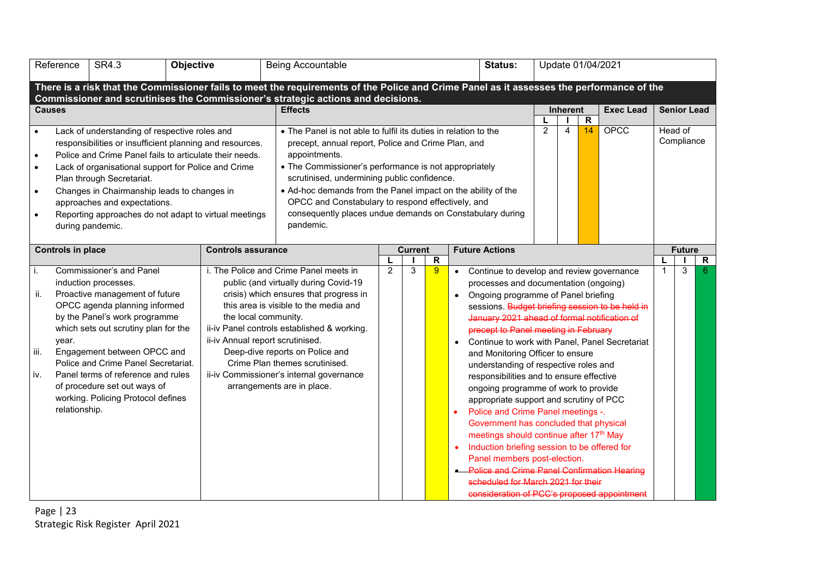|                                                               | Reference                | SR4.3                                                                                                                                                                                                                                                                                                                                                                                            | Objective |                                                          | Being Accountable                                                                                                                                                                                                                                                                                                                                                                                                                                                                                                                                                                                                                                                                                                                                                                                                                                                                                                                                                                                                                                                                                                                                                                                                                                                                                                                                                             |  |  |  |  | Status: |                |                |    | Update 01/04/2021 |         |                    |  |
|---------------------------------------------------------------|--------------------------|--------------------------------------------------------------------------------------------------------------------------------------------------------------------------------------------------------------------------------------------------------------------------------------------------------------------------------------------------------------------------------------------------|-----------|----------------------------------------------------------|-------------------------------------------------------------------------------------------------------------------------------------------------------------------------------------------------------------------------------------------------------------------------------------------------------------------------------------------------------------------------------------------------------------------------------------------------------------------------------------------------------------------------------------------------------------------------------------------------------------------------------------------------------------------------------------------------------------------------------------------------------------------------------------------------------------------------------------------------------------------------------------------------------------------------------------------------------------------------------------------------------------------------------------------------------------------------------------------------------------------------------------------------------------------------------------------------------------------------------------------------------------------------------------------------------------------------------------------------------------------------------|--|--|--|--|---------|----------------|----------------|----|-------------------|---------|--------------------|--|
|                                                               |                          |                                                                                                                                                                                                                                                                                                                                                                                                  |           |                                                          | There is a risk that the Commissioner fails to meet the requirements of the Police and Crime Panel as it assesses the performance of the<br>Commissioner and scrutinises the Commissioner's strategic actions and decisions.                                                                                                                                                                                                                                                                                                                                                                                                                                                                                                                                                                                                                                                                                                                                                                                                                                                                                                                                                                                                                                                                                                                                                  |  |  |  |  |         |                |                |    |                   |         |                    |  |
|                                                               | <b>Causes</b>            |                                                                                                                                                                                                                                                                                                                                                                                                  |           |                                                          | <b>Effects</b>                                                                                                                                                                                                                                                                                                                                                                                                                                                                                                                                                                                                                                                                                                                                                                                                                                                                                                                                                                                                                                                                                                                                                                                                                                                                                                                                                                |  |  |  |  |         |                | Inherent       | R  | <b>Exec Lead</b>  |         | <b>Senior Lead</b> |  |
| $\bullet$<br>$\bullet$<br>$\bullet$<br>$\bullet$<br>$\bullet$ | during pandemic.         | Lack of understanding of respective roles and<br>responsibilities or insufficient planning and resources.<br>Police and Crime Panel fails to articulate their needs.<br>Lack of organisational support for Police and Crime<br>Plan through Secretariat.<br>Changes in Chairmanship leads to changes in<br>approaches and expectations.<br>Reporting approaches do not adapt to virtual meetings |           |                                                          | • The Panel is not able to fulfil its duties in relation to the<br>precept, annual report, Police and Crime Plan, and<br>appointments.<br>• The Commissioner's performance is not appropriately<br>scrutinised, undermining public confidence.<br>• Ad-hoc demands from the Panel impact on the ability of the<br>OPCC and Constabulary to respond effectively, and<br>consequently places undue demands on Constabulary during<br>pandemic.                                                                                                                                                                                                                                                                                                                                                                                                                                                                                                                                                                                                                                                                                                                                                                                                                                                                                                                                  |  |  |  |  |         | $\overline{2}$ | $\overline{4}$ | 14 | <b>OPCC</b>       | Head of | Compliance         |  |
|                                                               | <b>Controls in place</b> |                                                                                                                                                                                                                                                                                                                                                                                                  |           | <b>Controls assurance</b>                                |                                                                                                                                                                                                                                                                                                                                                                                                                                                                                                                                                                                                                                                                                                                                                                                                                                                                                                                                                                                                                                                                                                                                                                                                                                                                                                                                                                               |  |  |  |  |         |                |                |    |                   |         | <b>Future</b>      |  |
| i.<br>ii.<br>iii.<br>iv.                                      | year.<br>relationship.   | <b>Commissioner's and Panel</b><br>induction processes.<br>Proactive management of future<br>OPCC agenda planning informed<br>by the Panel's work programme<br>which sets out scrutiny plan for the<br>Engagement between OPCC and<br>Police and Crime Panel Secretariat.<br>Panel terms of reference and rules<br>of procedure set out ways of<br>working. Policing Protocol defines            |           | the local community.<br>ii-iv Annual report scrutinised. | <b>Future Actions</b><br><b>Current</b><br>$\mathsf{R}$<br>i. The Police and Crime Panel meets in<br>2<br>3<br>9<br>Continue to develop and review governance<br>public (and virtually during Covid-19<br>processes and documentation (ongoing)<br>crisis) which ensures that progress in<br>Ongoing programme of Panel briefing<br>$\bullet$<br>this area is visible to the media and<br>sessions. Budget briefing session to be held in<br>January 2021 ahead of formal notification of<br>ii-iv Panel controls established & working.<br>precept to Panel meeting in February<br>Continue to work with Panel, Panel Secretariat<br>Deep-dive reports on Police and<br>and Monitoring Officer to ensure<br>Crime Plan themes scrutinised.<br>understanding of respective roles and<br>ii-iv Commissioner's internal governance<br>responsibilities and to ensure effective<br>arrangements are in place.<br>ongoing programme of work to provide<br>appropriate support and scrutiny of PCC<br>Police and Crime Panel meetings -.<br>$\bullet$<br>Government has concluded that physical<br>meetings should continue after 17th May<br>Induction briefing session to be offered for<br>$\bullet$<br>Panel members post-election.<br><b>Police and Crime Panel Confirmation Hearing</b><br>scheduled for March 2021 for their<br>consideration of PCC's proposed appointment |  |  |  |  |         |                |                |    |                   | 3       | $\mathsf{R}$<br>6  |  |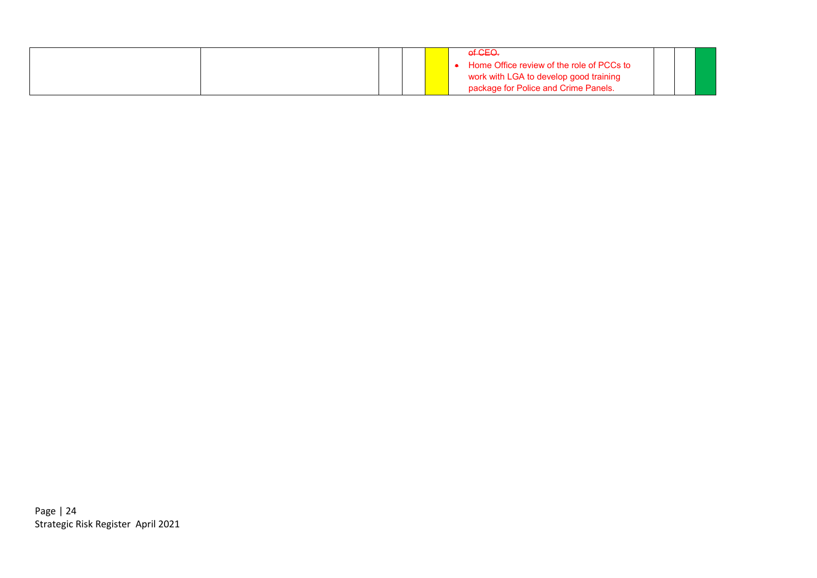|  |  | of CEO.                                   |  |  |
|--|--|-------------------------------------------|--|--|
|  |  | Home Office review of the role of PCCs to |  |  |
|  |  | work with LGA to develop good training    |  |  |
|  |  | package for Police and Crime Panels.      |  |  |

Page | 24 Strategic Risk Register April 2021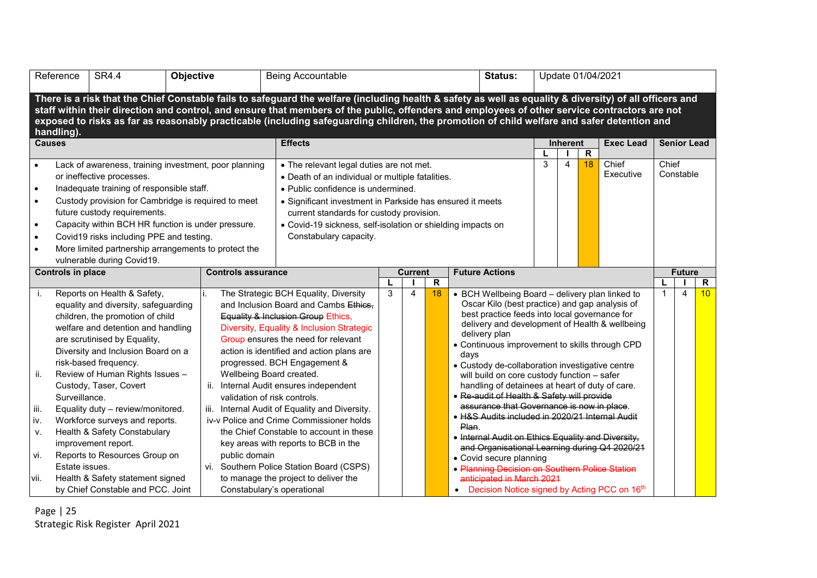|                                                                                                                                                                                                                                                                                                                                                                                                                                                                      | Reference                       | SR4.4                                                                                                                                                                                                                                                                                                                                                                                                                                                                                                                                             | Objective                                                                                                                                                                                                                                                                                                                                                                                                                                                                                                                       |                                                                                                                                                                                                                                                                                                                                                                                                                                                                                                                                                                                                                                                                                                        | Being Accountable |                                                                                                                               |                | Status:               |                                                                                                                                          |                                                                                                                                                                                                                                                                                                                                                                                                                                                                                                                                                                                                                                                                                                                     |  | Update 01/04/2021 |                    |                    |                    |                    |
|----------------------------------------------------------------------------------------------------------------------------------------------------------------------------------------------------------------------------------------------------------------------------------------------------------------------------------------------------------------------------------------------------------------------------------------------------------------------|---------------------------------|---------------------------------------------------------------------------------------------------------------------------------------------------------------------------------------------------------------------------------------------------------------------------------------------------------------------------------------------------------------------------------------------------------------------------------------------------------------------------------------------------------------------------------------------------|---------------------------------------------------------------------------------------------------------------------------------------------------------------------------------------------------------------------------------------------------------------------------------------------------------------------------------------------------------------------------------------------------------------------------------------------------------------------------------------------------------------------------------|--------------------------------------------------------------------------------------------------------------------------------------------------------------------------------------------------------------------------------------------------------------------------------------------------------------------------------------------------------------------------------------------------------------------------------------------------------------------------------------------------------------------------------------------------------------------------------------------------------------------------------------------------------------------------------------------------------|-------------------|-------------------------------------------------------------------------------------------------------------------------------|----------------|-----------------------|------------------------------------------------------------------------------------------------------------------------------------------|---------------------------------------------------------------------------------------------------------------------------------------------------------------------------------------------------------------------------------------------------------------------------------------------------------------------------------------------------------------------------------------------------------------------------------------------------------------------------------------------------------------------------------------------------------------------------------------------------------------------------------------------------------------------------------------------------------------------|--|-------------------|--------------------|--------------------|--------------------|--------------------|
| There is a risk that the Chief Constable fails to safeguard the welfare (including health & safety as well as equality & diversity) of all officers and<br>staff within their direction and control, and ensure that members of the public, offenders and employees of other service contractors are not<br>exposed to risks as far as reasonably practicable (including safeguarding children, the promotion of child welfare and safer detention and<br>handling). |                                 |                                                                                                                                                                                                                                                                                                                                                                                                                                                                                                                                                   |                                                                                                                                                                                                                                                                                                                                                                                                                                                                                                                                 |                                                                                                                                                                                                                                                                                                                                                                                                                                                                                                                                                                                                                                                                                                        |                   |                                                                                                                               |                |                       |                                                                                                                                          |                                                                                                                                                                                                                                                                                                                                                                                                                                                                                                                                                                                                                                                                                                                     |  |                   |                    |                    |                    |                    |
| <b>Causes</b>                                                                                                                                                                                                                                                                                                                                                                                                                                                        |                                 |                                                                                                                                                                                                                                                                                                                                                                                                                                                                                                                                                   |                                                                                                                                                                                                                                                                                                                                                                                                                                                                                                                                 |                                                                                                                                                                                                                                                                                                                                                                                                                                                                                                                                                                                                                                                                                                        | <b>Effects</b>    |                                                                                                                               |                |                       |                                                                                                                                          | <b>Inherent</b><br>$\mathsf{R}$                                                                                                                                                                                                                                                                                                                                                                                                                                                                                                                                                                                                                                                                                     |  |                   | <b>Exec Lead</b>   |                    | <b>Senior Lead</b> |                    |
| $\bullet$<br>$\bullet$<br>$\bullet$<br>$\bullet$<br>$\bullet$                                                                                                                                                                                                                                                                                                                                                                                                        |                                 | or ineffective processes.<br>future custody requirements.<br>vulnerable during Covid19.                                                                                                                                                                                                                                                                                                                                                                                                                                                           | Lack of awareness, training investment, poor planning<br>• The relevant legal duties are not met.<br>• Death of an individual or multiple fatalities.<br>Inadequate training of responsible staff.<br>• Public confidence is undermined.<br>Custody provision for Cambridge is required to meet<br>current standards for custody provision.<br>Capacity within BCH HR function is under pressure.<br>Covid19 risks including PPE and testing.<br>Constabulary capacity.<br>More limited partnership arrangements to protect the |                                                                                                                                                                                                                                                                                                                                                                                                                                                                                                                                                                                                                                                                                                        |                   | 3<br>• Significant investment in Parkside has ensured it meets<br>• Covid-19 sickness, self-isolation or shielding impacts on |                |                       |                                                                                                                                          |                                                                                                                                                                                                                                                                                                                                                                                                                                                                                                                                                                                                                                                                                                                     |  | 18                | Chief<br>Executive | Chief<br>Constable |                    |                    |
|                                                                                                                                                                                                                                                                                                                                                                                                                                                                      |                                 | <b>Controls in place</b><br><b>Controls assurance</b>                                                                                                                                                                                                                                                                                                                                                                                                                                                                                             |                                                                                                                                                                                                                                                                                                                                                                                                                                                                                                                                 |                                                                                                                                                                                                                                                                                                                                                                                                                                                                                                                                                                                                                                                                                                        |                   |                                                                                                                               | <b>Current</b> | <b>Future Actions</b> |                                                                                                                                          |                                                                                                                                                                                                                                                                                                                                                                                                                                                                                                                                                                                                                                                                                                                     |  |                   |                    |                    | <b>Future</b>      |                    |
| i.<br>ii.<br>iii.<br>iv.<br>V.<br>vi.<br>vii.                                                                                                                                                                                                                                                                                                                                                                                                                        | Surveillance.<br>Estate issues. | Reports on Health & Safety,<br>equality and diversity, safeguarding<br>children, the promotion of child<br>welfare and detention and handling<br>are scrutinised by Equality,<br>Diversity and Inclusion Board on a<br>risk-based frequency.<br>Review of Human Rights Issues -<br>Custody, Taser, Covert<br>Equality duty - review/monitored.<br>Workforce surveys and reports.<br>Health & Safety Constabulary<br>improvement report.<br>Reports to Resources Group on<br>Health & Safety statement signed<br>by Chief Constable and PCC. Joint |                                                                                                                                                                                                                                                                                                                                                                                                                                                                                                                                 | The Strategic BCH Equality, Diversity<br>and Inclusion Board and Cambs Ethics.<br>Equality & Inclusion Group Ethics,<br>Diversity, Equality & Inclusion Strategic<br>Group ensures the need for relevant<br>action is identified and action plans are<br>progressed. BCH Engagement &<br>Wellbeing Board created.<br>Internal Audit ensures independent<br>validation of risk controls.<br>Internal Audit of Equality and Diversity.<br>iv-v Police and Crime Commissioner holds<br>the Chief Constable to account in these<br>key areas with reports to BCB in the<br>public domain<br>vi. Southern Police Station Board (CSPS)<br>to manage the project to deliver the<br>Constabulary's operational |                   | 3                                                                                                                             | $\overline{4}$ | R<br>18               | delivery plan<br>days<br>Plan.<br>• Covid secure planning<br>anticipated in March 2021<br>• Decision Notice signed by Acting PCC on 16th | • BCH Wellbeing Board - delivery plan linked to<br>Oscar Kilo (best practice) and gap analysis of<br>best practice feeds into local governance for<br>delivery and development of Health & wellbeing<br>• Continuous improvement to skills through CPD<br>• Custody de-collaboration investigative centre<br>will build on core custody function - safer<br>handling of detainees at heart of duty of care.<br>• Re-audit of Health & Safety will provide<br>assurance that Governance is now in place.<br>• H&S Audits included in 2020/21 Internal Audit<br>• Internal Audit on Ethics Equality and Diversity,<br>and Organisational Learning during Q4 2020/21<br>• Planning Decision on Southern Police Station |  |                   |                    |                    | $\overline{4}$     | $\mathsf{R}$<br>10 |

Page | 25 Strategic Risk Register April 2021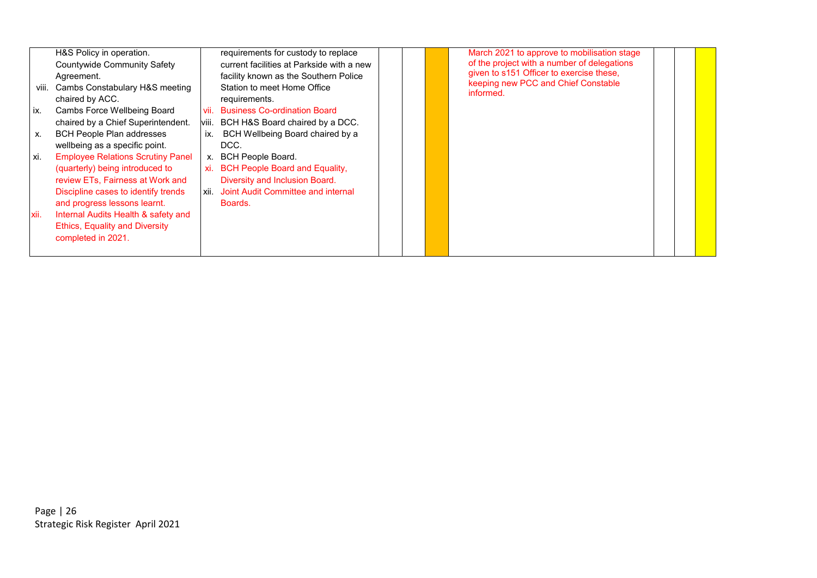|       | H&S Policy in operation.                 |       | requirements for custody to replace            |  | March 2021 to approve to mobilisation stage      |  |  |
|-------|------------------------------------------|-------|------------------------------------------------|--|--------------------------------------------------|--|--|
|       | Countywide Community Safety              |       | current facilities at Parkside with a new      |  | of the project with a number of delegations      |  |  |
|       | Agreement.                               |       | facility known as the Southern Police          |  | given to s151 Officer to exercise these,         |  |  |
| VIII. | Cambs Constabulary H&S meeting           |       | Station to meet Home Office                    |  | keeping new PCC and Chief Constable<br>informed. |  |  |
|       | chaired by ACC.                          |       | requirements.                                  |  |                                                  |  |  |
| ix.   | Cambs Force Wellbeing Board              | vii.  | <b>Business Co-ordination Board</b>            |  |                                                  |  |  |
|       | chaired by a Chief Superintendent.       | viii. | BCH H&S Board chaired by a DCC.                |  |                                                  |  |  |
| Х.    | <b>BCH People Plan addresses</b>         | ix.   | BCH Wellbeing Board chaired by a               |  |                                                  |  |  |
|       | wellbeing as a specific point.           |       | DCC.                                           |  |                                                  |  |  |
| xi.   | <b>Employee Relations Scrutiny Panel</b> | X.    | <b>BCH People Board.</b>                       |  |                                                  |  |  |
|       | (quarterly) being introduced to          | xi.   | <b>BCH People Board and Equality,</b>          |  |                                                  |  |  |
|       | review ETs, Fairness at Work and         |       | Diversity and Inclusion Board.                 |  |                                                  |  |  |
|       | Discipline cases to identify trends      |       | <b>xii.</b> Joint Audit Committee and internal |  |                                                  |  |  |
|       | and progress lessons learnt.             |       | Boards.                                        |  |                                                  |  |  |
| xii.  | Internal Audits Health & safety and      |       |                                                |  |                                                  |  |  |
|       | <b>Ethics, Equality and Diversity</b>    |       |                                                |  |                                                  |  |  |
|       | completed in 2021.                       |       |                                                |  |                                                  |  |  |
|       |                                          |       |                                                |  |                                                  |  |  |
|       |                                          |       |                                                |  |                                                  |  |  |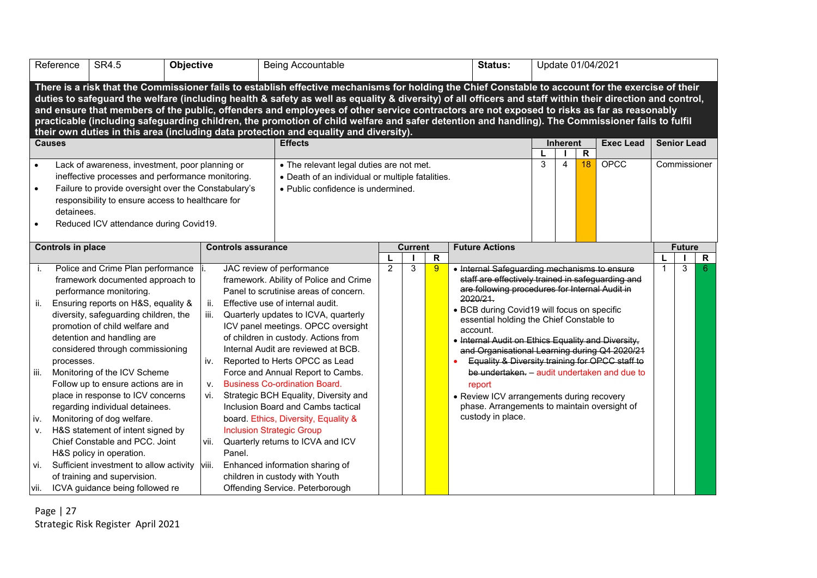|                                                                                                                                                                                                                                                                                                                                                                                                                                                                                                                                                                                                                                                                                                           | Reference<br>SR4.5<br>Objective                                                                                                                                                                                                                                                                                                                                                                                                                  |                                 | <b>Being Accountable</b>                                                                                                                                                                                                                                                                                                                                                                                                                                              |                                                                                        |   |   | Status:                                                                                                                                                                                                                                                                                                                                                                                                                                                                                                                                                                                 |                 | Update 01/04/2021 |                   |                  |                    |   |              |
|-----------------------------------------------------------------------------------------------------------------------------------------------------------------------------------------------------------------------------------------------------------------------------------------------------------------------------------------------------------------------------------------------------------------------------------------------------------------------------------------------------------------------------------------------------------------------------------------------------------------------------------------------------------------------------------------------------------|--------------------------------------------------------------------------------------------------------------------------------------------------------------------------------------------------------------------------------------------------------------------------------------------------------------------------------------------------------------------------------------------------------------------------------------------------|---------------------------------|-----------------------------------------------------------------------------------------------------------------------------------------------------------------------------------------------------------------------------------------------------------------------------------------------------------------------------------------------------------------------------------------------------------------------------------------------------------------------|----------------------------------------------------------------------------------------|---|---|-----------------------------------------------------------------------------------------------------------------------------------------------------------------------------------------------------------------------------------------------------------------------------------------------------------------------------------------------------------------------------------------------------------------------------------------------------------------------------------------------------------------------------------------------------------------------------------------|-----------------|-------------------|-------------------|------------------|--------------------|---|--------------|
| There is a risk that the Commissioner fails to establish effective mechanisms for holding the Chief Constable to account for the exercise of their<br>duties to safeguard the welfare (including health & safety as well as equality & diversity) of all officers and staff within their direction and control,<br>and ensure that members of the public, offenders and employees of other service contractors are not exposed to risks as far as reasonably<br>practicable (including safeguarding children, the promotion of child welfare and safer detention and handling). The Commissioner fails to fulfil<br>their own duties in this area (including data protection and equality and diversity). |                                                                                                                                                                                                                                                                                                                                                                                                                                                  |                                 |                                                                                                                                                                                                                                                                                                                                                                                                                                                                       |                                                                                        |   |   |                                                                                                                                                                                                                                                                                                                                                                                                                                                                                                                                                                                         |                 |                   |                   |                  |                    |   |              |
|                                                                                                                                                                                                                                                                                                                                                                                                                                                                                                                                                                                                                                                                                                           | <b>Causes</b>                                                                                                                                                                                                                                                                                                                                                                                                                                    |                                 | Effects                                                                                                                                                                                                                                                                                                                                                                                                                                                               |                                                                                        |   |   |                                                                                                                                                                                                                                                                                                                                                                                                                                                                                                                                                                                         | <b>Inherent</b> |                   |                   | <b>Exec Lead</b> | <b>Senior Lead</b> |   |              |
|                                                                                                                                                                                                                                                                                                                                                                                                                                                                                                                                                                                                                                                                                                           | Lack of awareness, investment, poor planning or                                                                                                                                                                                                                                                                                                                                                                                                  |                                 | • The relevant legal duties are not met.                                                                                                                                                                                                                                                                                                                                                                                                                              |                                                                                        |   |   |                                                                                                                                                                                                                                                                                                                                                                                                                                                                                                                                                                                         | 3               | $\overline{4}$    | $\mathbf R$<br>18 | OPCC             |                    |   | Commissioner |
|                                                                                                                                                                                                                                                                                                                                                                                                                                                                                                                                                                                                                                                                                                           |                                                                                                                                                                                                                                                                                                                                                                                                                                                  |                                 |                                                                                                                                                                                                                                                                                                                                                                                                                                                                       |                                                                                        |   |   |                                                                                                                                                                                                                                                                                                                                                                                                                                                                                                                                                                                         |                 |                   |                   |                  |                    |   |              |
| ineffective processes and performance monitoring.<br>Failure to provide oversight over the Constabulary's<br>$\bullet$<br>responsibility to ensure access to healthcare for<br>detainees.                                                                                                                                                                                                                                                                                                                                                                                                                                                                                                                 |                                                                                                                                                                                                                                                                                                                                                                                                                                                  |                                 |                                                                                                                                                                                                                                                                                                                                                                                                                                                                       | • Death of an individual or multiple fatalities.<br>• Public confidence is undermined. |   |   |                                                                                                                                                                                                                                                                                                                                                                                                                                                                                                                                                                                         |                 |                   |                   |                  |                    |   |              |
| $\bullet$                                                                                                                                                                                                                                                                                                                                                                                                                                                                                                                                                                                                                                                                                                 | Reduced ICV attendance during Covid19.                                                                                                                                                                                                                                                                                                                                                                                                           |                                 |                                                                                                                                                                                                                                                                                                                                                                                                                                                                       |                                                                                        |   |   |                                                                                                                                                                                                                                                                                                                                                                                                                                                                                                                                                                                         |                 |                   |                   |                  |                    |   |              |
|                                                                                                                                                                                                                                                                                                                                                                                                                                                                                                                                                                                                                                                                                                           | <b>Controls in place</b>                                                                                                                                                                                                                                                                                                                                                                                                                         | <b>Controls assurance</b>       | <b>Future Actions</b><br><b>Current</b>                                                                                                                                                                                                                                                                                                                                                                                                                               |                                                                                        |   |   |                                                                                                                                                                                                                                                                                                                                                                                                                                                                                                                                                                                         |                 |                   |                   |                  | <b>Future</b>      |   |              |
|                                                                                                                                                                                                                                                                                                                                                                                                                                                                                                                                                                                                                                                                                                           |                                                                                                                                                                                                                                                                                                                                                                                                                                                  |                                 |                                                                                                                                                                                                                                                                                                                                                                                                                                                                       | $\mathsf{R}$<br>2                                                                      |   |   |                                                                                                                                                                                                                                                                                                                                                                                                                                                                                                                                                                                         |                 |                   |                   |                  | R                  |   |              |
| j.<br>ii.<br>iii.                                                                                                                                                                                                                                                                                                                                                                                                                                                                                                                                                                                                                                                                                         | Police and Crime Plan performance<br>framework documented approach to<br>performance monitoring.<br>Ensuring reports on H&S, equality &<br>diversity, safeguarding children, the<br>promotion of child welfare and<br>detention and handling are<br>considered through commissioning<br>processes.<br>Monitoring of the ICV Scheme<br>Follow up to ensure actions are in<br>place in response to ICV concerns<br>regarding individual detainees. | ii.<br>iii.<br>iv.<br>v.<br>vi. | JAC review of performance<br>framework. Ability of Police and Crime<br>Panel to scrutinise areas of concern.<br>Effective use of internal audit.<br>Quarterly updates to ICVA, quarterly<br>ICV panel meetings. OPCC oversight<br>of children in custody. Actions from<br>Internal Audit are reviewed at BCB.<br>Reported to Herts OPCC as Lead<br>Force and Annual Report to Cambs.<br><b>Business Co-ordination Board.</b><br>Strategic BCH Equality, Diversity and |                                                                                        | 3 | 9 | . Internal Safequarding mechanisms to ensure<br>staff are effectively trained in safeguarding and<br>are following procedures for Internal Audit in<br>2020/21.<br>• BCB during Covid19 will focus on specific<br>essential holding the Chief Constable to<br>account.<br>. Internal Audit on Ethics Equality and Diversity,<br>and Organisational Learning during Q4 2020/21<br>Equality & Diversity training for OPCC staff to<br>be undertaken. - audit undertaken and due to<br>report<br>• Review ICV arrangements during recovery<br>phase. Arrangements to maintain oversight of |                 |                   |                   |                  | $\mathbf{1}$       | 3 | 6            |
| iv.<br>V.<br>vi.<br>vii.                                                                                                                                                                                                                                                                                                                                                                                                                                                                                                                                                                                                                                                                                  | Monitoring of dog welfare.<br>H&S statement of intent signed by<br>Chief Constable and PCC. Joint<br>H&S policy in operation.<br>Sufficient investment to allow activity<br>of training and supervision.<br>ICVA guidance being followed re                                                                                                                                                                                                      | vii.<br>Panel.<br>viii.         | Inclusion Board and Cambs tactical<br>board. Ethics, Diversity, Equality &<br><b>Inclusion Strategic Group</b><br>Quarterly returns to ICVA and ICV<br>Enhanced information sharing of<br>children in custody with Youth<br>Offending Service. Peterborough                                                                                                                                                                                                           |                                                                                        |   |   | custody in place.                                                                                                                                                                                                                                                                                                                                                                                                                                                                                                                                                                       |                 |                   |                   |                  |                    |   |              |

Page | 27 Strategic Risk Register April 2021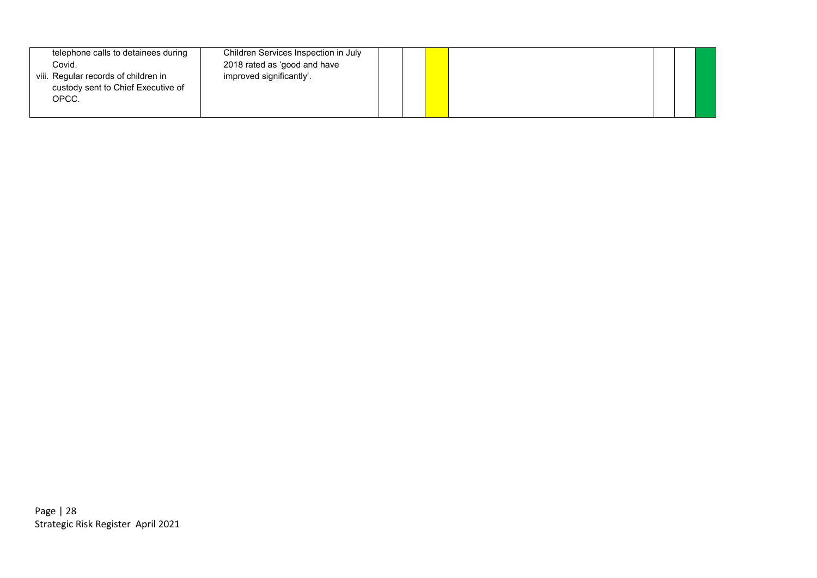| telephone calls to detainees during<br>Covid.<br>viii. Regular records of children in<br>custody sent to Chief Executive of<br>OPCC. | Children Services Inspection in July<br>2018 rated as 'good and have<br>improved significantly'. |  |  |  |
|--------------------------------------------------------------------------------------------------------------------------------------|--------------------------------------------------------------------------------------------------|--|--|--|
|                                                                                                                                      |                                                                                                  |  |  |  |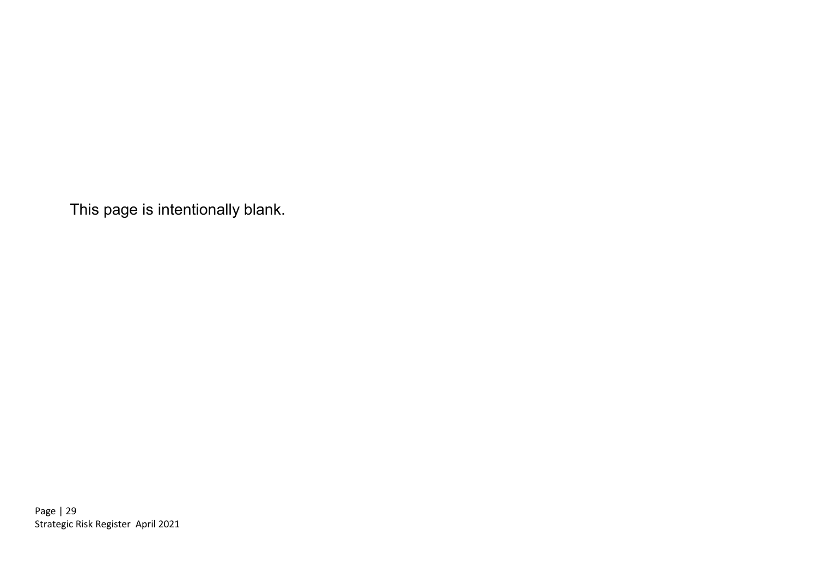This page is intentionally blank.

Page | 29 Strategic Risk Register April 2021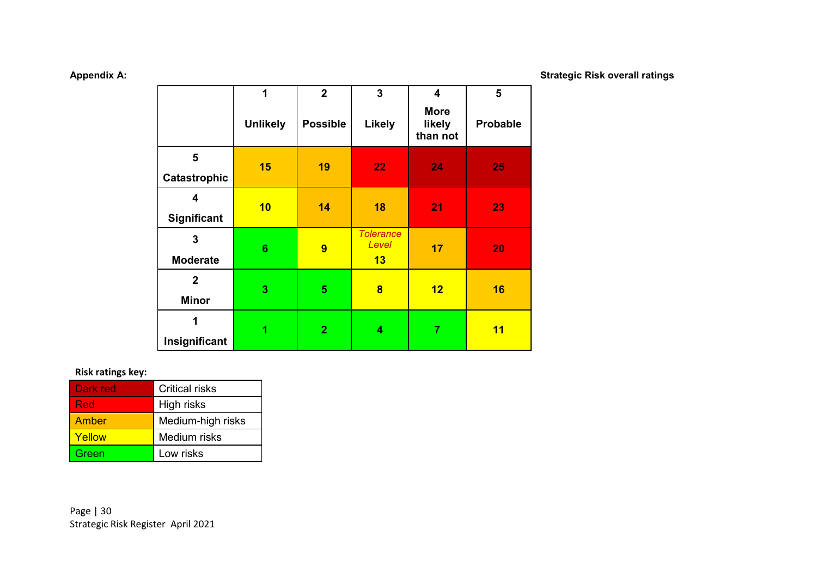**Appendix A: Strategic Risk overall ratings**

|                         | $\overline{1}$  | $\overline{\mathbf{2}}$ | 3                         | $\overline{\mathbf{4}}$           | 5               |
|-------------------------|-----------------|-------------------------|---------------------------|-----------------------------------|-----------------|
|                         | <b>Unlikely</b> | <b>Possible</b>         | <b>Likely</b>             | <b>More</b><br>likely<br>than not | <b>Probable</b> |
| 5                       | 15              | 19                      | 22                        | 24                                | 25              |
| <b>Catastrophic</b>     |                 |                         |                           |                                   |                 |
| $\overline{\mathbf{4}}$ | 10              | 14                      | 18                        | 21                                | 23              |
| Significant             |                 |                         |                           |                                   |                 |
| 3                       | $6\phantom{1}$  | 9                       | <b>Tolerance</b><br>Level | 17                                | 20              |
| <b>Moderate</b>         |                 |                         | 13                        |                                   |                 |
| $\overline{2}$          | 3               | 5                       | 8                         | 12                                | 16              |
| <b>Minor</b>            |                 |                         |                           |                                   |                 |
| 1                       | 1               | $\overline{2}$          | 4                         | 7                                 |                 |
| Insignificant           |                 |                         |                           |                                   | 11              |

# **Risk ratings key:**

| Dark red      | Critical risks    |
|---------------|-------------------|
| <b>Red</b>    | High risks        |
| <b>Amber</b>  | Medium-high risks |
| <b>Yellow</b> | Medium risks      |
| Green         | Low risks         |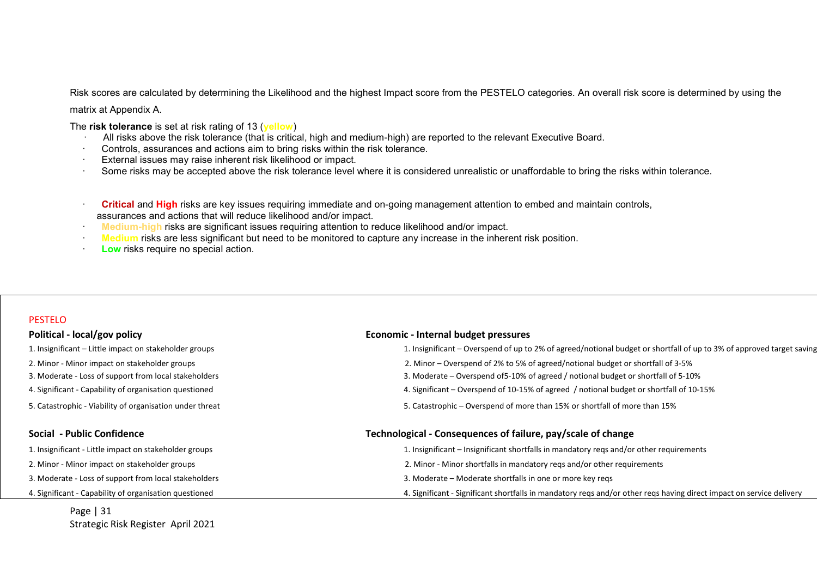Risk scores are calculated by determining the Likelihood and the highest Impact score from the PESTELO categories. An overall risk score is determined by using the

matrix at Appendix A.

The **risk tolerance** is set at risk rating of 13 (**yellow**)

- All risks above the risk tolerance (that is critical, high and medium-high) are reported to the relevant Executive Board.
- · Controls, assurances and actions aim to bring risks within the risk tolerance.
- · External issues may raise inherent risk likelihood or impact.
- · Some risks may be accepted above the risk tolerance level where it is considered unrealistic or unaffordable to bring the risks within tolerance.
- · **Critical** and **High** risks are key issues requiring immediate and on-going management attention to embed and maintain controls, assurances and actions that will reduce likelihood and/or impact.
- **Medium-high risks are significant issues requiring attention to reduce likelihood and/or impact.**
- **Medium** risks are less significant but need to be monitored to capture any increase in the inherent risk position.
- **Low** risks require no special action.

### PESTELO

| Political - local/gov policy                             | Economic - Internal budget pressures                                                                                  |
|----------------------------------------------------------|-----------------------------------------------------------------------------------------------------------------------|
| 1. Insignificant - Little impact on stakeholder groups   | 1. Insignificant – Overspend of up to 2% of agreed/notional budget or shortfall of up to 3% of approved target saving |
| 2. Minor - Minor impact on stakeholder groups            | 2. Minor – Overspend of 2% to 5% of agreed/notional budget or shortfall of 3-5%                                       |
| 3. Moderate - Loss of support from local stakeholders    | 3. Moderate – Overspend of 5-10% of agreed / notional budget or shortfall of 5-10%                                    |
| 4. Significant - Capability of organisation questioned   | 4. Significant – Overspend of 10-15% of agreed / notional budget or shortfall of 10-15%                               |
| 5. Catastrophic - Viability of organisation under threat | 5. Catastrophic – Overspend of more than 15% or shortfall of more than 15%                                            |
| Social - Public Confidence                               | Technological - Consequences of failure, pay/scale of change                                                          |
| 1. Insignificant - Little impact on stakeholder groups   | 1. Insignificant – Insignificant shortfalls in mandatory regs and/or other requirements                               |
| 2. Minor - Minor impact on stakeholder groups            | 2. Minor - Minor shortfalls in mandatory regs and/or other requirements                                               |
| 3. Moderate - Loss of support from local stakeholders    | 3. Moderate – Moderate shortfalls in one or more key regs                                                             |
| 4. Significant - Capability of organisation questioned   | 4. Significant - Significant shortfalls in mandatory reqs and/or other reqs having direct impact on service delivery  |